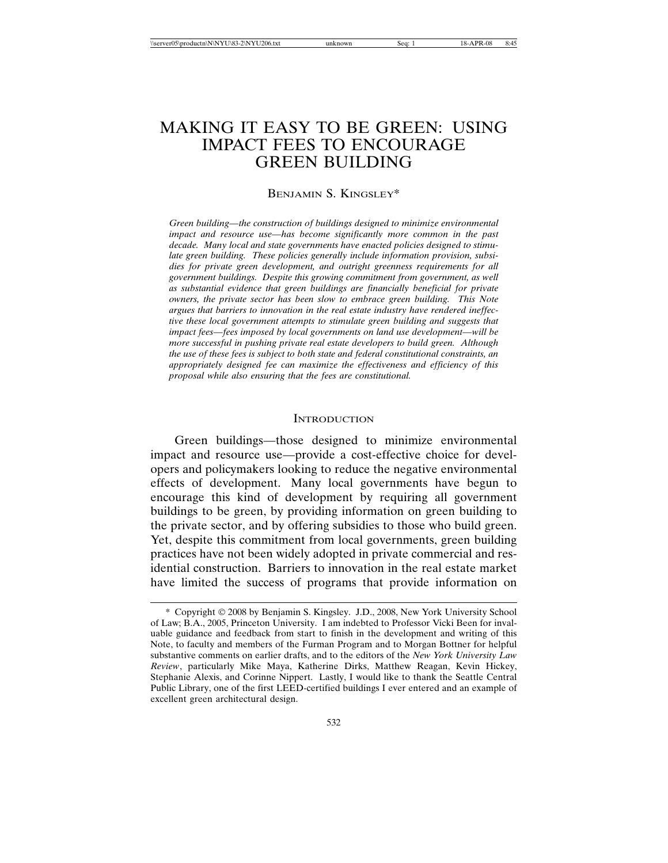# MAKING IT EASY TO BE GREEN: USING IMPACT FEES TO ENCOURAGE GREEN BUILDING

## BENJAMIN S. KINGSLEY\*

*Green building—the construction of buildings designed to minimize environmental impact and resource use—has become significantly more common in the past decade. Many local and state governments have enacted policies designed to stimulate green building. These policies generally include information provision, subsidies for private green development, and outright greenness requirements for all government buildings. Despite this growing commitment from government, as well as substantial evidence that green buildings are financially beneficial for private owners, the private sector has been slow to embrace green building. This Note argues that barriers to innovation in the real estate industry have rendered ineffective these local government attempts to stimulate green building and suggests that impact fees—fees imposed by local governments on land use development—will be more successful in pushing private real estate developers to build green. Although the use of these fees is subject to both state and federal constitutional constraints, an appropriately designed fee can maximize the effectiveness and efficiency of this proposal while also ensuring that the fees are constitutional.*

#### **INTRODUCTION**

Green buildings—those designed to minimize environmental impact and resource use—provide a cost-effective choice for developers and policymakers looking to reduce the negative environmental effects of development. Many local governments have begun to encourage this kind of development by requiring all government buildings to be green, by providing information on green building to the private sector, and by offering subsidies to those who build green. Yet, despite this commitment from local governments, green building practices have not been widely adopted in private commercial and residential construction. Barriers to innovation in the real estate market have limited the success of programs that provide information on

<sup>\*</sup> Copyright 2008 by Benjamin S. Kingsley. J.D., 2008, New York University School of Law; B.A., 2005, Princeton University. I am indebted to Professor Vicki Been for invaluable guidance and feedback from start to finish in the development and writing of this Note, to faculty and members of the Furman Program and to Morgan Bottner for helpful substantive comments on earlier drafts, and to the editors of the *New York University Law Review*, particularly Mike Maya, Katherine Dirks, Matthew Reagan, Kevin Hickey, Stephanie Alexis, and Corinne Nippert. Lastly, I would like to thank the Seattle Central Public Library, one of the first LEED-certified buildings I ever entered and an example of excellent green architectural design.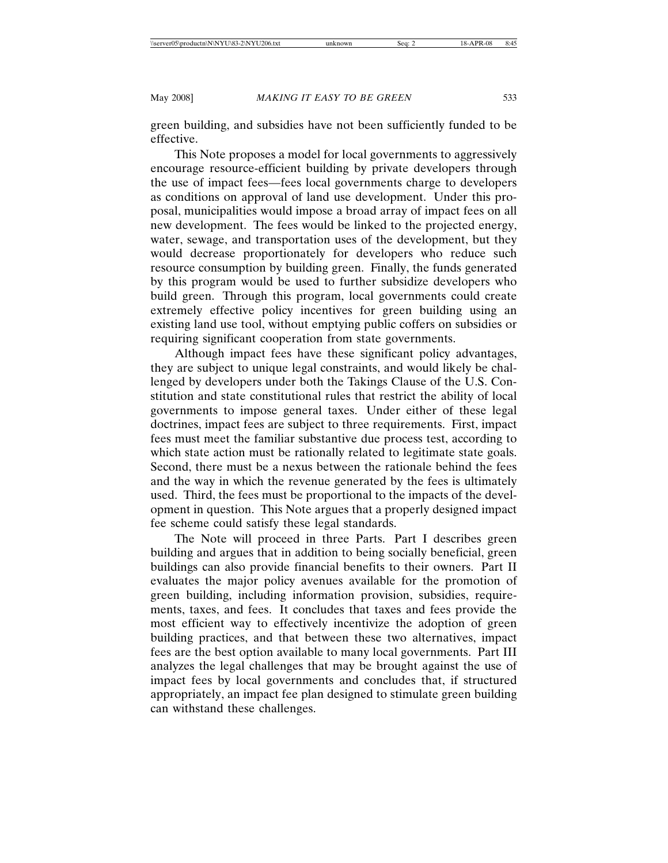green building, and subsidies have not been sufficiently funded to be effective.

This Note proposes a model for local governments to aggressively encourage resource-efficient building by private developers through the use of impact fees—fees local governments charge to developers as conditions on approval of land use development. Under this proposal, municipalities would impose a broad array of impact fees on all new development. The fees would be linked to the projected energy, water, sewage, and transportation uses of the development, but they would decrease proportionately for developers who reduce such resource consumption by building green. Finally, the funds generated by this program would be used to further subsidize developers who build green. Through this program, local governments could create extremely effective policy incentives for green building using an existing land use tool, without emptying public coffers on subsidies or requiring significant cooperation from state governments.

Although impact fees have these significant policy advantages, they are subject to unique legal constraints, and would likely be challenged by developers under both the Takings Clause of the U.S. Constitution and state constitutional rules that restrict the ability of local governments to impose general taxes. Under either of these legal doctrines, impact fees are subject to three requirements. First, impact fees must meet the familiar substantive due process test, according to which state action must be rationally related to legitimate state goals. Second, there must be a nexus between the rationale behind the fees and the way in which the revenue generated by the fees is ultimately used. Third, the fees must be proportional to the impacts of the development in question. This Note argues that a properly designed impact fee scheme could satisfy these legal standards.

The Note will proceed in three Parts. Part I describes green building and argues that in addition to being socially beneficial, green buildings can also provide financial benefits to their owners. Part II evaluates the major policy avenues available for the promotion of green building, including information provision, subsidies, requirements, taxes, and fees. It concludes that taxes and fees provide the most efficient way to effectively incentivize the adoption of green building practices, and that between these two alternatives, impact fees are the best option available to many local governments. Part III analyzes the legal challenges that may be brought against the use of impact fees by local governments and concludes that, if structured appropriately, an impact fee plan designed to stimulate green building can withstand these challenges.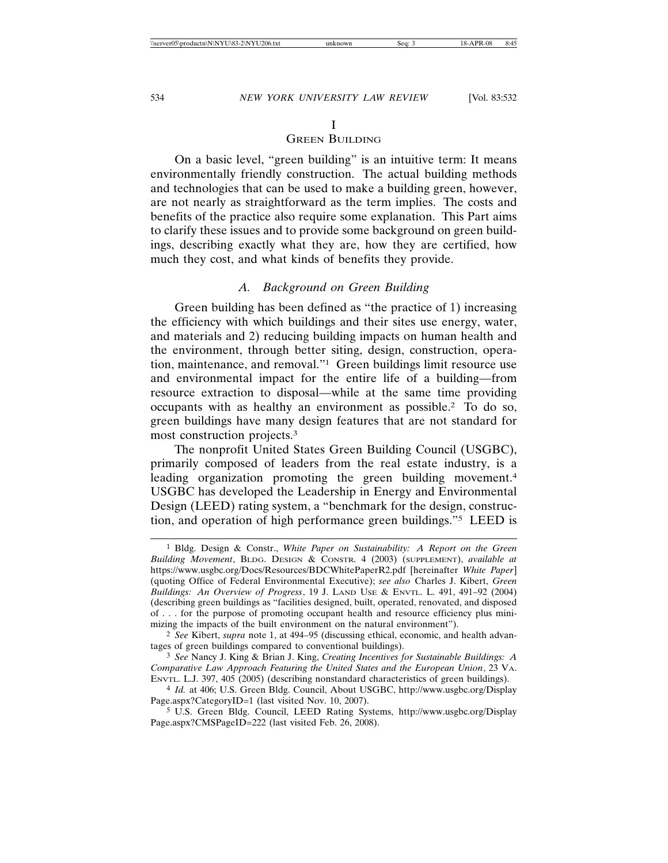# I

# GREEN BUILDING

On a basic level, "green building" is an intuitive term: It means environmentally friendly construction. The actual building methods and technologies that can be used to make a building green, however, are not nearly as straightforward as the term implies. The costs and benefits of the practice also require some explanation. This Part aims to clarify these issues and to provide some background on green buildings, describing exactly what they are, how they are certified, how much they cost, and what kinds of benefits they provide.

# *A. Background on Green Building*

Green building has been defined as "the practice of 1) increasing the efficiency with which buildings and their sites use energy, water, and materials and 2) reducing building impacts on human health and the environment, through better siting, design, construction, operation, maintenance, and removal."1 Green buildings limit resource use and environmental impact for the entire life of a building—from resource extraction to disposal—while at the same time providing occupants with as healthy an environment as possible.2 To do so, green buildings have many design features that are not standard for most construction projects.3

The nonprofit United States Green Building Council (USGBC), primarily composed of leaders from the real estate industry, is a leading organization promoting the green building movement.<sup>4</sup> USGBC has developed the Leadership in Energy and Environmental Design (LEED) rating system, a "benchmark for the design, construction, and operation of high performance green buildings."5 LEED is

<sup>1</sup> Bldg. Design & Constr., *White Paper on Sustainability: A Report on the Green Building Movement*, BLDG. DESIGN & CONSTR. 4 (2003) (SUPPLEMENT), *available at* https://www.usgbc.org/Docs/Resources/BDCWhitePaperR2.pdf [hereinafter *White Paper*] (quoting Office of Federal Environmental Executive); *see also* Charles J. Kibert, *Green Buildings: An Overview of Progress*, 19 J. LAND USE & ENVTL. L. 491, 491–92 (2004) (describing green buildings as "facilities designed, built, operated, renovated, and disposed of . . . for the purpose of promoting occupant health and resource efficiency plus minimizing the impacts of the built environment on the natural environment").

<sup>2</sup> *See* Kibert, *supra* note 1, at 494–95 (discussing ethical, economic, and health advantages of green buildings compared to conventional buildings).

<sup>3</sup> *See* Nancy J. King & Brian J. King, *Creating Incentives for Sustainable Buildings: A Comparative Law Approach Featuring the United States and the European Union*, 23 VA. ENVTL. L.J. 397, 405 (2005) (describing nonstandard characteristics of green buildings).

<sup>4</sup> *Id.* at 406; U.S. Green Bldg. Council, About USGBC, http://www.usgbc.org/Display Page.aspx?CategoryID=1 (last visited Nov. 10, 2007).

<sup>5</sup> U.S. Green Bldg. Council, LEED Rating Systems, http://www.usgbc.org/Display Page.aspx?CMSPageID=222 (last visited Feb. 26, 2008).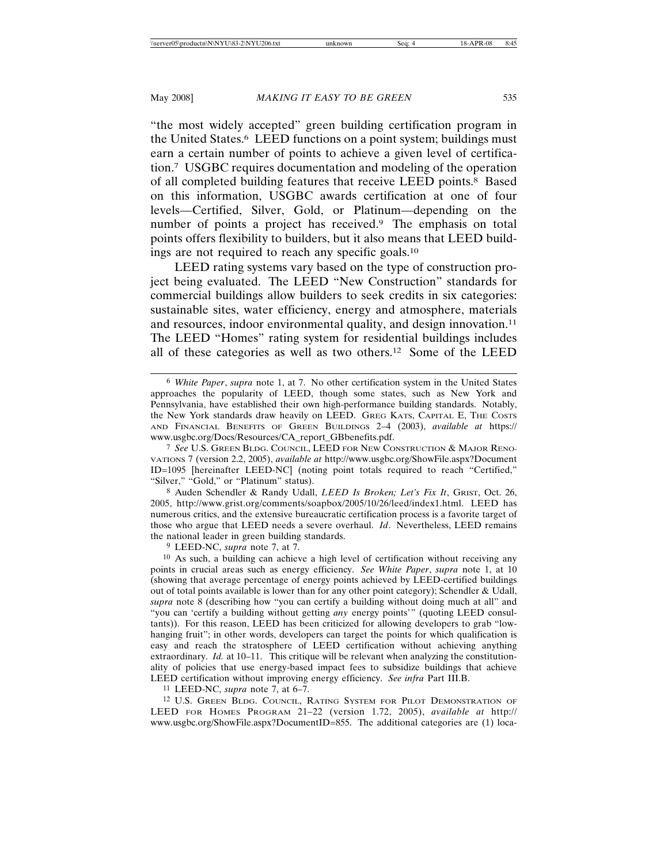"the most widely accepted" green building certification program in the United States.6 LEED functions on a point system; buildings must earn a certain number of points to achieve a given level of certification.7 USGBC requires documentation and modeling of the operation of all completed building features that receive LEED points.8 Based on this information, USGBC awards certification at one of four levels—Certified, Silver, Gold, or Platinum—depending on the number of points a project has received.<sup>9</sup> The emphasis on total points offers flexibility to builders, but it also means that LEED buildings are not required to reach any specific goals.10

LEED rating systems vary based on the type of construction project being evaluated. The LEED "New Construction" standards for commercial buildings allow builders to seek credits in six categories: sustainable sites, water efficiency, energy and atmosphere, materials and resources, indoor environmental quality, and design innovation.<sup>11</sup> The LEED "Homes" rating system for residential buildings includes all of these categories as well as two others.12 Some of the LEED

8 Auden Schendler & Randy Udall, *LEED Is Broken; Let's Fix It*, GRIST, Oct. 26, 2005, http://www.grist.org/comments/soapbox/2005/10/26/leed/index1.html. LEED has numerous critics, and the extensive bureaucratic certification process is a favorite target of those who argue that LEED needs a severe overhaul. *Id*. Nevertheless, LEED remains the national leader in green building standards.

9 LEED-NC, *supra* note 7, at 7.

10 As such, a building can achieve a high level of certification without receiving any points in crucial areas such as energy efficiency. *See White Paper*, *supra* note 1, at 10 (showing that average percentage of energy points achieved by LEED-certified buildings out of total points available is lower than for any other point category); Schendler & Udall, *supra* note 8 (describing how "you can certify a building without doing much at all" and "you can 'certify a building without getting *any* energy points'" (quoting LEED consultants)). For this reason, LEED has been criticized for allowing developers to grab "lowhanging fruit"; in other words, developers can target the points for which qualification is easy and reach the stratosphere of LEED certification without achieving anything extraordinary. *Id.* at 10-11. This critique will be relevant when analyzing the constitutionality of policies that use energy-based impact fees to subsidize buildings that achieve LEED certification without improving energy efficiency. *See infra* Part III.B.

11 LEED-NC, *supra* note 7, at 6–7.

<sup>12</sup> U.S. GREEN BLDG. COUNCIL, RATING SYSTEM FOR PILOT DEMONSTRATION OF LEED FOR HOMES PROGRAM 21–22 (version 1.72, 2005), *available at* http:// www.usgbc.org/ShowFile.aspx?DocumentID=855. The additional categories are (1) loca-

<sup>6</sup> *White Paper*, *supra* note 1, at 7. No other certification system in the United States approaches the popularity of LEED, though some states, such as New York and Pennsylvania, have established their own high-performance building standards. Notably, the New York standards draw heavily on LEED. GREG KATS, CAPITAL E, THE COSTS AND FINANCIAL BENEFITS OF GREEN BUILDINGS 2–4 (2003), *available at* https:// www.usgbc.org/Docs/Resources/CA\_report\_GBbenefits.pdf.

<sup>7</sup> *See* U.S. GREEN BLDG. COUNCIL, LEED FOR NEW CONSTRUCTION & MAJOR RENO-VATIONS 7 (version 2.2, 2005), *available at* http://www.usgbc.org/ShowFile.aspx?Document ID=1095 [hereinafter LEED-NC] (noting point totals required to reach "Certified," "Silver," "Gold," or "Platinum" status).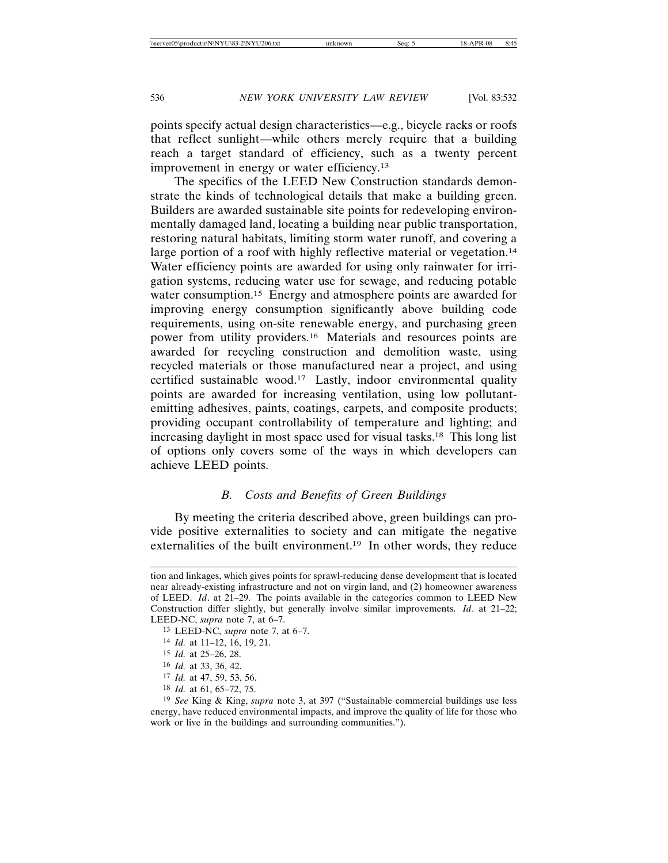points specify actual design characteristics—e.g., bicycle racks or roofs that reflect sunlight—while others merely require that a building reach a target standard of efficiency, such as a twenty percent improvement in energy or water efficiency.13

The specifics of the LEED New Construction standards demonstrate the kinds of technological details that make a building green. Builders are awarded sustainable site points for redeveloping environmentally damaged land, locating a building near public transportation, restoring natural habitats, limiting storm water runoff, and covering a large portion of a roof with highly reflective material or vegetation.<sup>14</sup> Water efficiency points are awarded for using only rainwater for irrigation systems, reducing water use for sewage, and reducing potable water consumption.15 Energy and atmosphere points are awarded for improving energy consumption significantly above building code requirements, using on-site renewable energy, and purchasing green power from utility providers.16 Materials and resources points are awarded for recycling construction and demolition waste, using recycled materials or those manufactured near a project, and using certified sustainable wood.17 Lastly, indoor environmental quality points are awarded for increasing ventilation, using low pollutantemitting adhesives, paints, coatings, carpets, and composite products; providing occupant controllability of temperature and lighting; and increasing daylight in most space used for visual tasks.18 This long list of options only covers some of the ways in which developers can achieve LEED points.

# *B. Costs and Benefits of Green Buildings*

By meeting the criteria described above, green buildings can provide positive externalities to society and can mitigate the negative externalities of the built environment.<sup>19</sup> In other words, they reduce

tion and linkages, which gives points for sprawl-reducing dense development that is located near already-existing infrastructure and not on virgin land, and (2) homeowner awareness of LEED. *Id*. at 21–29. The points available in the categories common to LEED New Construction differ slightly, but generally involve similar improvements. *Id*. at 21–22; LEED-NC, *supra* note 7, at 6–7.

<sup>13</sup> LEED-NC, *supra* note 7, at 6–7.

<sup>14</sup> *Id.* at 11–12, 16, 19, 21.

<sup>15</sup> *Id.* at 25–26, 28.

<sup>16</sup> *Id.* at 33, 36, 42.

<sup>17</sup> *Id.* at 47, 59, 53, 56.

<sup>18</sup> *Id.* at 61, 65–72, 75.

<sup>19</sup> *See* King & King, *supra* note 3, at 397 ("Sustainable commercial buildings use less energy, have reduced environmental impacts, and improve the quality of life for those who work or live in the buildings and surrounding communities.").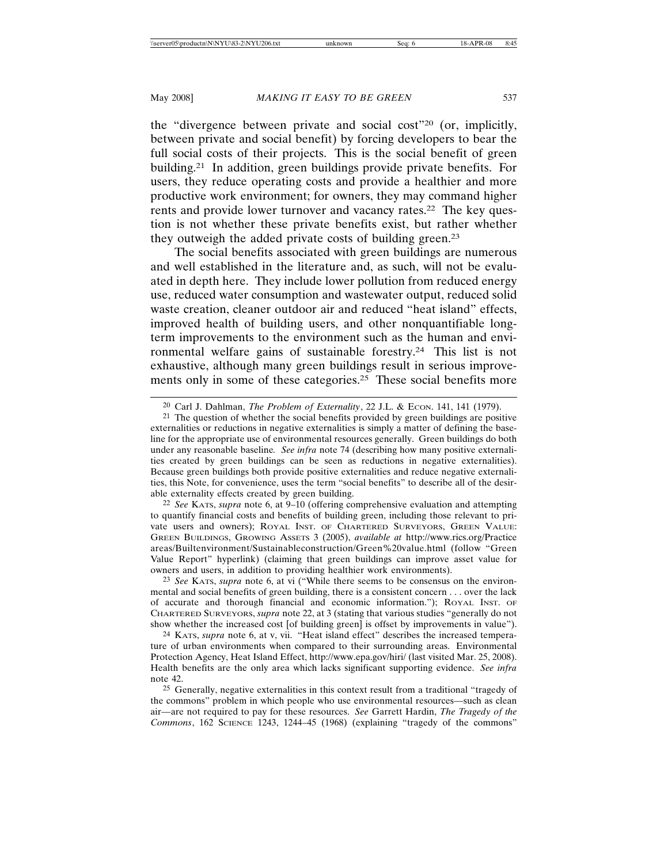the "divergence between private and social cost"20 (or, implicitly, between private and social benefit) by forcing developers to bear the full social costs of their projects. This is the social benefit of green building.21 In addition, green buildings provide private benefits. For users, they reduce operating costs and provide a healthier and more productive work environment; for owners, they may command higher rents and provide lower turnover and vacancy rates.<sup>22</sup> The key question is not whether these private benefits exist, but rather whether they outweigh the added private costs of building green.23

The social benefits associated with green buildings are numerous and well established in the literature and, as such, will not be evaluated in depth here. They include lower pollution from reduced energy use, reduced water consumption and wastewater output, reduced solid waste creation, cleaner outdoor air and reduced "heat island" effects, improved health of building users, and other nonquantifiable longterm improvements to the environment such as the human and environmental welfare gains of sustainable forestry.24 This list is not exhaustive, although many green buildings result in serious improvements only in some of these categories.<sup>25</sup> These social benefits more

22 *See* KATS, *supra* note 6, at 9–10 (offering comprehensive evaluation and attempting to quantify financial costs and benefits of building green, including those relevant to private users and owners); ROYAL INST. OF CHARTERED SURVEYORS, GREEN VALUE: GREEN BUILDINGS, GROWING ASSETS 3 (2005), *available at* http://www.rics.org/Practice areas/Builtenvironment/Sustainableconstruction/Green%20value.html (follow "Green Value Report" hyperlink) (claiming that green buildings can improve asset value for owners and users, in addition to providing healthier work environments).

23 *See* KATS, *supra* note 6, at vi ("While there seems to be consensus on the environmental and social benefits of green building, there is a consistent concern . . . over the lack of accurate and thorough financial and economic information."); ROYAL INST. OF CHARTERED SURVEYORS, *supra* note 22, at 3 (stating that various studies "generally do not show whether the increased cost [of building green] is offset by improvements in value").

24 KATS, *supra* note 6, at v, vii. "Heat island effect" describes the increased temperature of urban environments when compared to their surrounding areas. Environmental Protection Agency, Heat Island Effect, http://www.epa.gov/hiri/ (last visited Mar. 25, 2008). Health benefits are the only area which lacks significant supporting evidence. *See infra* note 42.

25 Generally, negative externalities in this context result from a traditional "tragedy of the commons" problem in which people who use environmental resources—such as clean air—are not required to pay for these resources. *See* Garrett Hardin, *The Tragedy of the Commons*, 162 SCIENCE 1243, 1244–45 (1968) (explaining "tragedy of the commons"

<sup>20</sup> Carl J. Dahlman, *The Problem of Externality*, 22 J.L. & ECON. 141, 141 (1979).

<sup>&</sup>lt;sup>21</sup> The question of whether the social benefits provided by green buildings are positive externalities or reductions in negative externalities is simply a matter of defining the baseline for the appropriate use of environmental resources generally. Green buildings do both under any reasonable baseline*. See infra* note 74 (describing how many positive externalities created by green buildings can be seen as reductions in negative externalities). Because green buildings both provide positive externalities and reduce negative externalities, this Note, for convenience, uses the term "social benefits" to describe all of the desirable externality effects created by green building.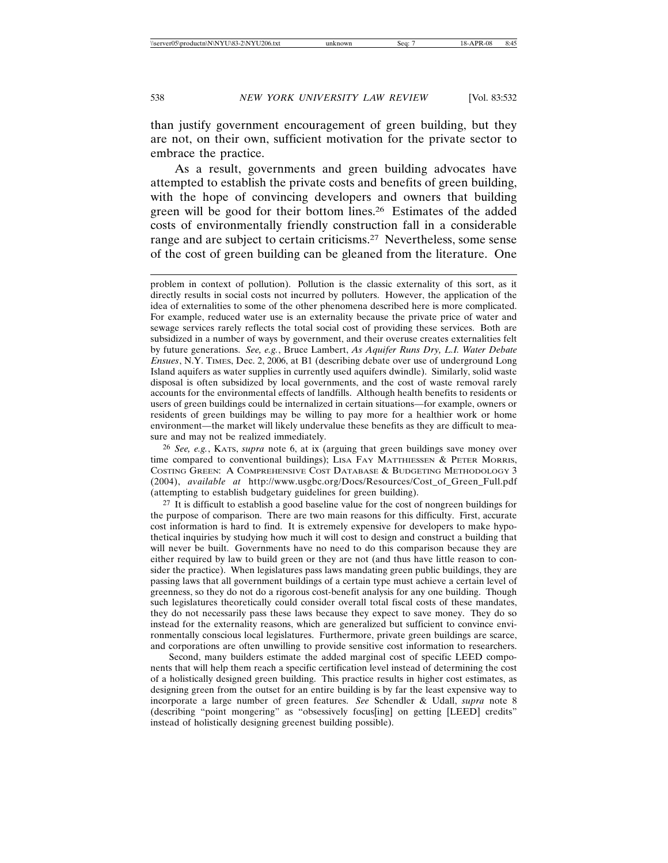than justify government encouragement of green building, but they are not, on their own, sufficient motivation for the private sector to embrace the practice.

As a result, governments and green building advocates have attempted to establish the private costs and benefits of green building, with the hope of convincing developers and owners that building green will be good for their bottom lines.26 Estimates of the added costs of environmentally friendly construction fall in a considerable range and are subject to certain criticisms.27 Nevertheless, some sense of the cost of green building can be gleaned from the literature. One

26 *See, e.g.*, KATS, *supra* note 6, at ix (arguing that green buildings save money over time compared to conventional buildings); LISA FAY MATTHIESSEN & PETER MORRIS, COSTING GREEN: A COMPREHENSIVE COST DATABASE & BUDGETING METHODOLOGY 3 (2004), *available at* http://www.usgbc.org/Docs/Resources/Cost\_of\_Green\_Full.pdf (attempting to establish budgetary guidelines for green building).

27 It is difficult to establish a good baseline value for the cost of nongreen buildings for the purpose of comparison. There are two main reasons for this difficulty. First, accurate cost information is hard to find. It is extremely expensive for developers to make hypothetical inquiries by studying how much it will cost to design and construct a building that will never be built. Governments have no need to do this comparison because they are either required by law to build green or they are not (and thus have little reason to consider the practice). When legislatures pass laws mandating green public buildings, they are passing laws that all government buildings of a certain type must achieve a certain level of greenness, so they do not do a rigorous cost-benefit analysis for any one building. Though such legislatures theoretically could consider overall total fiscal costs of these mandates, they do not necessarily pass these laws because they expect to save money. They do so instead for the externality reasons, which are generalized but sufficient to convince environmentally conscious local legislatures. Furthermore, private green buildings are scarce, and corporations are often unwilling to provide sensitive cost information to researchers.

Second, many builders estimate the added marginal cost of specific LEED components that will help them reach a specific certification level instead of determining the cost of a holistically designed green building. This practice results in higher cost estimates, as designing green from the outset for an entire building is by far the least expensive way to incorporate a large number of green features. *See* Schendler & Udall, *supra* note 8 (describing "point mongering" as "obsessively focus[ing] on getting [LEED] credits" instead of holistically designing greenest building possible).

problem in context of pollution). Pollution is the classic externality of this sort, as it directly results in social costs not incurred by polluters. However, the application of the idea of externalities to some of the other phenomena described here is more complicated. For example, reduced water use is an externality because the private price of water and sewage services rarely reflects the total social cost of providing these services. Both are subsidized in a number of ways by government, and their overuse creates externalities felt by future generations. *See, e.g.*, Bruce Lambert, *As Aquifer Runs Dry, L.I. Water Debate Ensues*, N.Y. TIMES, Dec. 2, 2006, at B1 (describing debate over use of underground Long Island aquifers as water supplies in currently used aquifers dwindle). Similarly, solid waste disposal is often subsidized by local governments, and the cost of waste removal rarely accounts for the environmental effects of landfills. Although health benefits to residents or users of green buildings could be internalized in certain situations—for example, owners or residents of green buildings may be willing to pay more for a healthier work or home environment—the market will likely undervalue these benefits as they are difficult to measure and may not be realized immediately.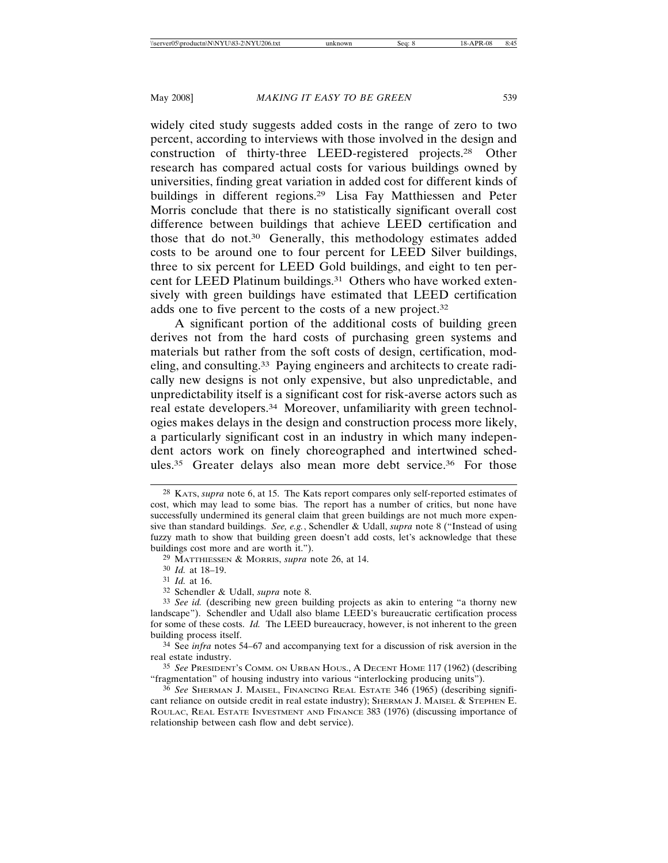widely cited study suggests added costs in the range of zero to two percent, according to interviews with those involved in the design and construction of thirty-three LEED-registered projects.28 Other research has compared actual costs for various buildings owned by universities, finding great variation in added cost for different kinds of buildings in different regions.29 Lisa Fay Matthiessen and Peter Morris conclude that there is no statistically significant overall cost difference between buildings that achieve LEED certification and those that do not.30 Generally, this methodology estimates added costs to be around one to four percent for LEED Silver buildings, three to six percent for LEED Gold buildings, and eight to ten percent for LEED Platinum buildings.31 Others who have worked extensively with green buildings have estimated that LEED certification adds one to five percent to the costs of a new project.32

A significant portion of the additional costs of building green derives not from the hard costs of purchasing green systems and materials but rather from the soft costs of design, certification, modeling, and consulting.33 Paying engineers and architects to create radically new designs is not only expensive, but also unpredictable, and unpredictability itself is a significant cost for risk-averse actors such as real estate developers.34 Moreover, unfamiliarity with green technologies makes delays in the design and construction process more likely, a particularly significant cost in an industry in which many independent actors work on finely choreographed and intertwined schedules.35 Greater delays also mean more debt service.36 For those

31 *Id.* at 16.

<sup>28</sup> KATS, *supra* note 6, at 15. The Kats report compares only self-reported estimates of cost, which may lead to some bias. The report has a number of critics, but none have successfully undermined its general claim that green buildings are not much more expensive than standard buildings. *See, e.g.*, Schendler & Udall, *supra* note 8 ("Instead of using fuzzy math to show that building green doesn't add costs, let's acknowledge that these buildings cost more and are worth it.").

<sup>29</sup> MATTHIESSEN & MORRIS, *supra* note 26, at 14.

<sup>30</sup> *Id.* at 18–19.

<sup>32</sup> Schendler & Udall, *supra* note 8.

<sup>33</sup> *See id.* (describing new green building projects as akin to entering "a thorny new landscape"). Schendler and Udall also blame LEED's bureaucratic certification process for some of these costs. *Id.* The LEED bureaucracy, however, is not inherent to the green building process itself.

<sup>34</sup> See *infra* notes 54–67 and accompanying text for a discussion of risk aversion in the real estate industry.

<sup>35</sup> *See* PRESIDENT'S COMM. ON URBAN HOUS., A DECENT HOME 117 (1962) (describing "fragmentation" of housing industry into various "interlocking producing units").

<sup>36</sup> *See* SHERMAN J. MAISEL, FINANCING REAL ESTATE 346 (1965) (describing significant reliance on outside credit in real estate industry); SHERMAN J. MAISEL & STEPHEN E. ROULAC, REAL ESTATE INVESTMENT AND FINANCE 383 (1976) (discussing importance of relationship between cash flow and debt service).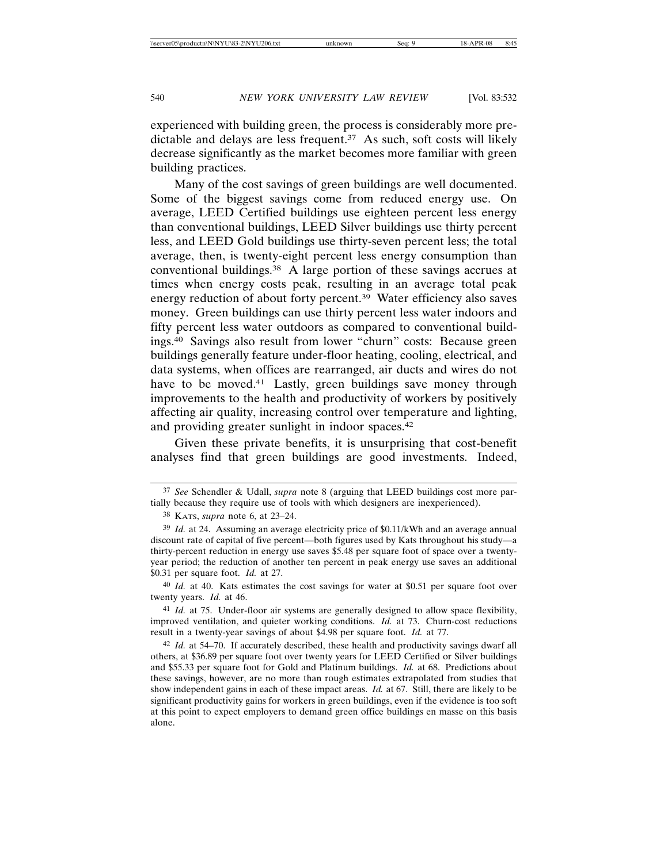experienced with building green, the process is considerably more predictable and delays are less frequent.37 As such, soft costs will likely decrease significantly as the market becomes more familiar with green building practices.

Many of the cost savings of green buildings are well documented. Some of the biggest savings come from reduced energy use. On average, LEED Certified buildings use eighteen percent less energy than conventional buildings, LEED Silver buildings use thirty percent less, and LEED Gold buildings use thirty-seven percent less; the total average, then, is twenty-eight percent less energy consumption than conventional buildings.38 A large portion of these savings accrues at times when energy costs peak, resulting in an average total peak energy reduction of about forty percent.39 Water efficiency also saves money. Green buildings can use thirty percent less water indoors and fifty percent less water outdoors as compared to conventional buildings.40 Savings also result from lower "churn" costs: Because green buildings generally feature under-floor heating, cooling, electrical, and data systems, when offices are rearranged, air ducts and wires do not have to be moved.<sup>41</sup> Lastly, green buildings save money through improvements to the health and productivity of workers by positively affecting air quality, increasing control over temperature and lighting, and providing greater sunlight in indoor spaces.42

Given these private benefits, it is unsurprising that cost-benefit analyses find that green buildings are good investments. Indeed,

<sup>37</sup> *See* Schendler & Udall, *supra* note 8 (arguing that LEED buildings cost more partially because they require use of tools with which designers are inexperienced).

<sup>38</sup> KATS, *supra* note 6, at 23–24.

<sup>39</sup> *Id.* at 24. Assuming an average electricity price of \$0.11/kWh and an average annual discount rate of capital of five percent—both figures used by Kats throughout his study—a thirty-percent reduction in energy use saves \$5.48 per square foot of space over a twentyyear period; the reduction of another ten percent in peak energy use saves an additional \$0.31 per square foot. *Id.* at 27.

<sup>40</sup> *Id.* at 40. Kats estimates the cost savings for water at \$0.51 per square foot over twenty years. *Id.* at 46.

<sup>41</sup> *Id.* at 75. Under-floor air systems are generally designed to allow space flexibility, improved ventilation, and quieter working conditions. *Id.* at 73. Churn-cost reductions result in a twenty-year savings of about \$4.98 per square foot. *Id.* at 77.

<sup>42</sup> *Id.* at 54–70. If accurately described, these health and productivity savings dwarf all others, at \$36.89 per square foot over twenty years for LEED Certified or Silver buildings and \$55.33 per square foot for Gold and Platinum buildings. *Id.* at 68. Predictions about these savings, however, are no more than rough estimates extrapolated from studies that show independent gains in each of these impact areas. *Id.* at 67. Still, there are likely to be significant productivity gains for workers in green buildings, even if the evidence is too soft at this point to expect employers to demand green office buildings en masse on this basis alone.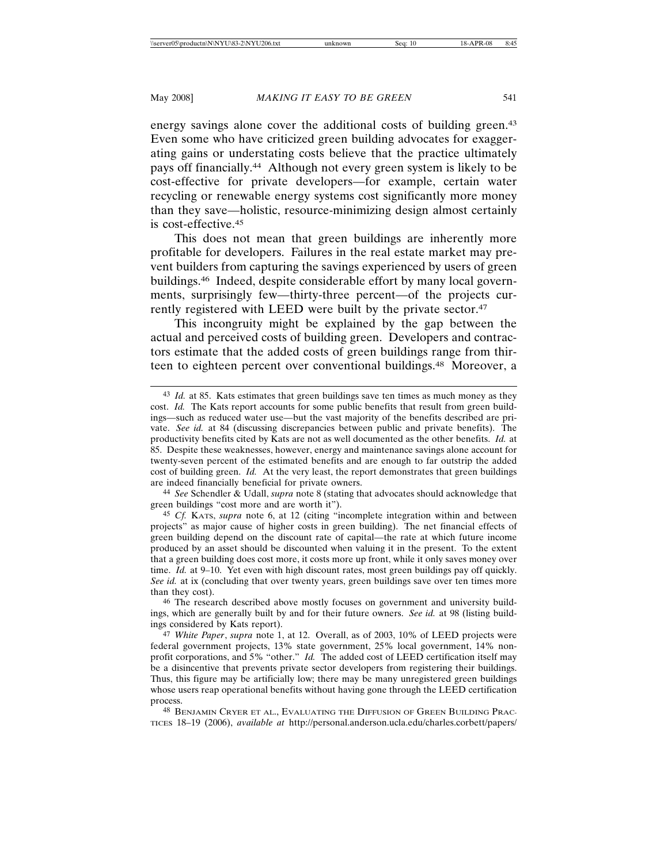energy savings alone cover the additional costs of building green.<sup>43</sup> Even some who have criticized green building advocates for exaggerating gains or understating costs believe that the practice ultimately pays off financially.44 Although not every green system is likely to be cost-effective for private developers—for example, certain water recycling or renewable energy systems cost significantly more money than they save—holistic, resource-minimizing design almost certainly is cost-effective.45

This does not mean that green buildings are inherently more profitable for developers. Failures in the real estate market may prevent builders from capturing the savings experienced by users of green buildings.46 Indeed, despite considerable effort by many local governments, surprisingly few—thirty-three percent—of the projects currently registered with LEED were built by the private sector.<sup>47</sup>

This incongruity might be explained by the gap between the actual and perceived costs of building green. Developers and contractors estimate that the added costs of green buildings range from thirteen to eighteen percent over conventional buildings.48 Moreover, a

44 *See* Schendler & Udall, *supra* note 8 (stating that advocates should acknowledge that green buildings "cost more and are worth it").

<sup>43</sup> *Id.* at 85. Kats estimates that green buildings save ten times as much money as they cost. *Id.* The Kats report accounts for some public benefits that result from green buildings—such as reduced water use—but the vast majority of the benefits described are private. *See id.* at 84 (discussing discrepancies between public and private benefits). The productivity benefits cited by Kats are not as well documented as the other benefits. *Id.* at 85. Despite these weaknesses, however, energy and maintenance savings alone account for twenty-seven percent of the estimated benefits and are enough to far outstrip the added cost of building green. *Id.* At the very least, the report demonstrates that green buildings are indeed financially beneficial for private owners.

<sup>45</sup> *Cf.* KATS, *supra* note 6, at 12 (citing "incomplete integration within and between projects" as major cause of higher costs in green building). The net financial effects of green building depend on the discount rate of capital—the rate at which future income produced by an asset should be discounted when valuing it in the present. To the extent that a green building does cost more, it costs more up front, while it only saves money over time. *Id.* at 9–10. Yet even with high discount rates, most green buildings pay off quickly. *See id.* at ix (concluding that over twenty years, green buildings save over ten times more than they cost).

<sup>46</sup> The research described above mostly focuses on government and university buildings, which are generally built by and for their future owners. *See id.* at 98 (listing buildings considered by Kats report).

<sup>47</sup> *White Paper*, *supra* note 1, at 12. Overall, as of 2003, 10% of LEED projects were federal government projects, 13% state government, 25% local government, 14% nonprofit corporations, and 5% "other." *Id.* The added cost of LEED certification itself may be a disincentive that prevents private sector developers from registering their buildings. Thus, this figure may be artificially low; there may be many unregistered green buildings whose users reap operational benefits without having gone through the LEED certification process.

<sup>48</sup> BENJAMIN CRYER ET AL., EVALUATING THE DIFFUSION OF GREEN BUILDING PRAC-TICES 18–19 (2006), *available at* http://personal.anderson.ucla.edu/charles.corbett/papers/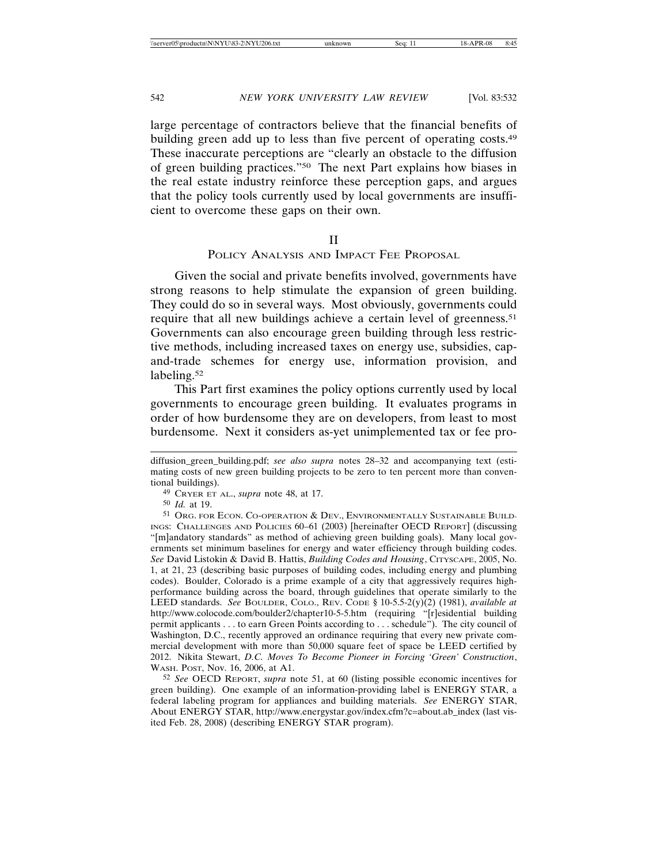large percentage of contractors believe that the financial benefits of building green add up to less than five percent of operating costs.<sup>49</sup> These inaccurate perceptions are "clearly an obstacle to the diffusion of green building practices."50 The next Part explains how biases in the real estate industry reinforce these perception gaps, and argues that the policy tools currently used by local governments are insufficient to overcome these gaps on their own.

#### II

POLICY ANALYSIS AND IMPACT FEE PROPOSAL

Given the social and private benefits involved, governments have strong reasons to help stimulate the expansion of green building. They could do so in several ways. Most obviously, governments could require that all new buildings achieve a certain level of greenness.51 Governments can also encourage green building through less restrictive methods, including increased taxes on energy use, subsidies, capand-trade schemes for energy use, information provision, and labeling.<sup>52</sup>

This Part first examines the policy options currently used by local governments to encourage green building. It evaluates programs in order of how burdensome they are on developers, from least to most burdensome. Next it considers as-yet unimplemented tax or fee pro-

52 *See* OECD REPORT, *supra* note 51, at 60 (listing possible economic incentives for green building). One example of an information-providing label is ENERGY STAR, a federal labeling program for appliances and building materials. *See* ENERGY STAR, About ENERGY STAR, http://www.energystar.gov/index.cfm?c=about.ab\_index (last visited Feb. 28, 2008) (describing ENERGY STAR program).

diffusion\_green\_building.pdf; *see also supra* notes 28–32 and accompanying text (estimating costs of new green building projects to be zero to ten percent more than conventional buildings).

<sup>49</sup> CRYER ET AL., *supra* note 48, at 17.

<sup>50</sup> *Id.* at 19.

<sup>51</sup> ORG. FOR ECON. CO-OPERATION & DEV., ENVIRONMENTALLY SUSTAINABLE BUILD-INGS: CHALLENGES AND POLICIES 60–61 (2003) [hereinafter OECD REPORT] (discussing "[m]andatory standards" as method of achieving green building goals). Many local governments set minimum baselines for energy and water efficiency through building codes. *See* David Listokin & David B. Hattis, *Building Codes and Housing*, CITYSCAPE, 2005, No. 1, at 21, 23 (describing basic purposes of building codes, including energy and plumbing codes). Boulder, Colorado is a prime example of a city that aggressively requires highperformance building across the board, through guidelines that operate similarly to the LEED standards. *See* BOULDER, COLO., REV. CODE § 10-5.5-2(y)(2) (1981), *available at* http://www.colocode.com/boulder2/chapter10-5-5.htm (requiring "[r]esidential building permit applicants . . . to earn Green Points according to . . . schedule"). The city council of Washington, D.C., recently approved an ordinance requiring that every new private commercial development with more than 50,000 square feet of space be LEED certified by 2012. Nikita Stewart, *D.C. Moves To Become Pioneer in Forcing 'Green' Construction*, WASH. POST, Nov. 16, 2006, at A1.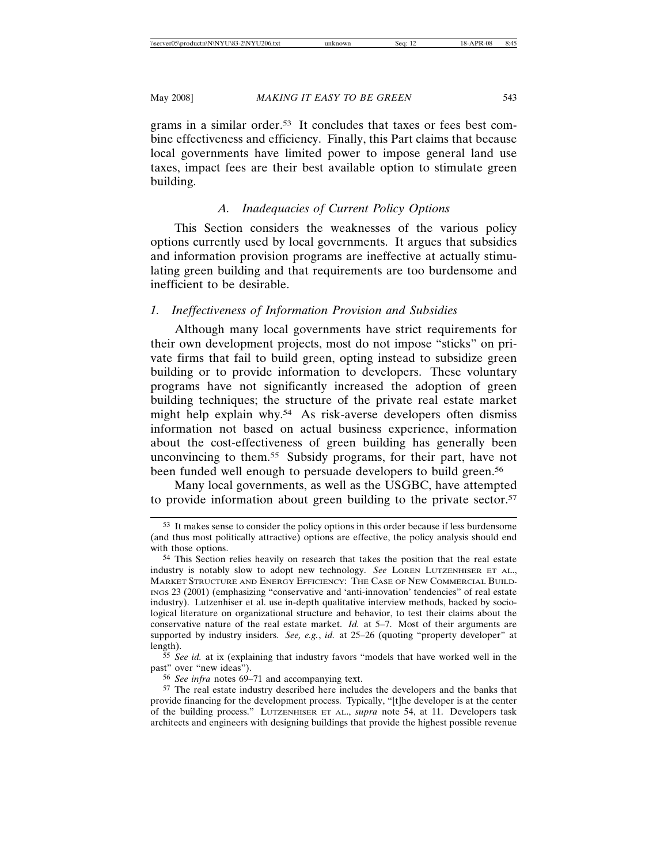grams in a similar order.53 It concludes that taxes or fees best combine effectiveness and efficiency. Finally, this Part claims that because local governments have limited power to impose general land use taxes, impact fees are their best available option to stimulate green building.

# *A. Inadequacies of Current Policy Options*

This Section considers the weaknesses of the various policy options currently used by local governments. It argues that subsidies and information provision programs are ineffective at actually stimulating green building and that requirements are too burdensome and inefficient to be desirable.

# *1. Ineffectiveness of Information Provision and Subsidies*

Although many local governments have strict requirements for their own development projects, most do not impose "sticks" on private firms that fail to build green, opting instead to subsidize green building or to provide information to developers. These voluntary programs have not significantly increased the adoption of green building techniques; the structure of the private real estate market might help explain why.54 As risk-averse developers often dismiss information not based on actual business experience, information about the cost-effectiveness of green building has generally been unconvincing to them.55 Subsidy programs, for their part, have not been funded well enough to persuade developers to build green.<sup>56</sup>

Many local governments, as well as the USGBC, have attempted to provide information about green building to the private sector.<sup>57</sup>

55 *See id.* at ix (explaining that industry favors "models that have worked well in the past" over "new ideas").

<sup>53</sup> It makes sense to consider the policy options in this order because if less burdensome (and thus most politically attractive) options are effective, the policy analysis should end with those options.

<sup>54</sup> This Section relies heavily on research that takes the position that the real estate industry is notably slow to adopt new technology. *See* LOREN LUTZENHISER ET AL., MARKET STRUCTURE AND ENERGY EFFICIENCY: THE CASE OF NEW COMMERCIAL BUILD-INGS 23 (2001) (emphasizing "conservative and 'anti-innovation' tendencies" of real estate industry). Lutzenhiser et al. use in-depth qualitative interview methods, backed by sociological literature on organizational structure and behavior, to test their claims about the conservative nature of the real estate market. *Id.* at 5–7. Most of their arguments are supported by industry insiders. *See, e.g.*, *id.* at 25–26 (quoting "property developer" at length).

<sup>56</sup> *See infra* notes 69–71 and accompanying text.

<sup>57</sup> The real estate industry described here includes the developers and the banks that provide financing for the development process. Typically, "[t]he developer is at the center of the building process." LUTZENHISER ET AL., *supra* note 54, at 11. Developers task architects and engineers with designing buildings that provide the highest possible revenue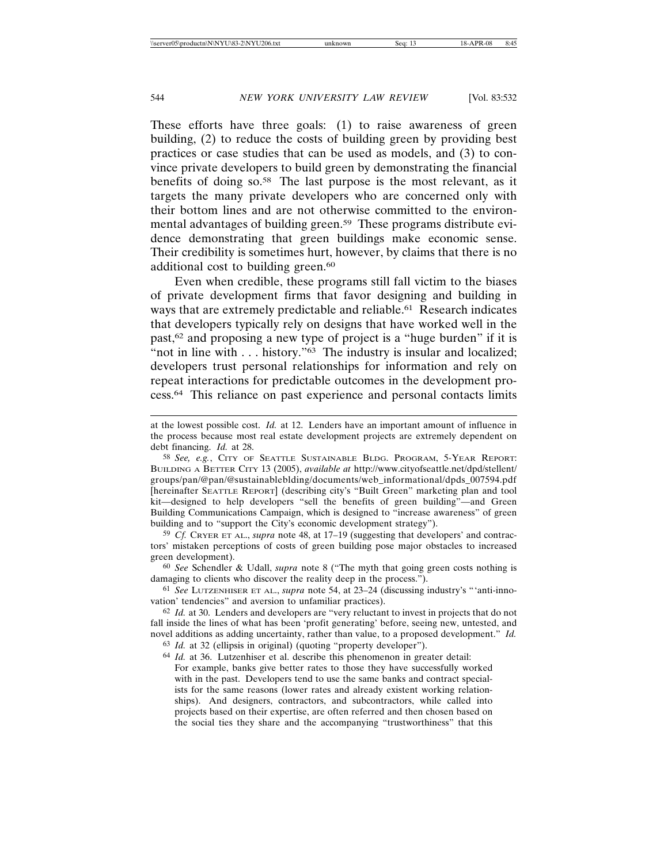These efforts have three goals: (1) to raise awareness of green building, (2) to reduce the costs of building green by providing best practices or case studies that can be used as models, and (3) to convince private developers to build green by demonstrating the financial benefits of doing so.58 The last purpose is the most relevant, as it targets the many private developers who are concerned only with their bottom lines and are not otherwise committed to the environmental advantages of building green.59 These programs distribute evidence demonstrating that green buildings make economic sense. Their credibility is sometimes hurt, however, by claims that there is no additional cost to building green.<sup>60</sup>

Even when credible, these programs still fall victim to the biases of private development firms that favor designing and building in ways that are extremely predictable and reliable.<sup>61</sup> Research indicates that developers typically rely on designs that have worked well in the past,62 and proposing a new type of project is a "huge burden" if it is "not in line with . . . history."<sup>63</sup> The industry is insular and localized; developers trust personal relationships for information and rely on repeat interactions for predictable outcomes in the development process.64 This reliance on past experience and personal contacts limits

59 *Cf.* CRYER ET AL., *supra* note 48, at 17–19 (suggesting that developers' and contractors' mistaken perceptions of costs of green building pose major obstacles to increased green development).

60 *See* Schendler & Udall, *supra* note 8 ("The myth that going green costs nothing is damaging to clients who discover the reality deep in the process.").

61 *See* LUTZENHISER ET AL., *supra* note 54, at 23–24 (discussing industry's "'anti-innovation' tendencies" and aversion to unfamiliar practices).

62 *Id.* at 30. Lenders and developers are "very reluctant to invest in projects that do not fall inside the lines of what has been 'profit generating' before, seeing new, untested, and novel additions as adding uncertainty, rather than value, to a proposed development." *Id.*

63 *Id.* at 32 (ellipsis in original) (quoting "property developer").

64 *Id.* at 36. Lutzenhiser et al. describe this phenomenon in greater detail: For example, banks give better rates to those they have successfully worked with in the past. Developers tend to use the same banks and contract specialists for the same reasons (lower rates and already existent working relationships). And designers, contractors, and subcontractors, while called into projects based on their expertise, are often referred and then chosen based on the social ties they share and the accompanying "trustworthiness" that this

at the lowest possible cost. *Id.* at 12. Lenders have an important amount of influence in the process because most real estate development projects are extremely dependent on debt financing. *Id.* at 28.

<sup>58</sup> *See, e.g.*, CITY OF SEATTLE SUSTAINABLE BLDG. PROGRAM, 5-YEAR REPORT: BUILDING A BETTER CITY 13 (2005), *available at* http://www.cityofseattle.net/dpd/stellent/ groups/pan/@pan/@sustainableblding/documents/web\_informational/dpds\_007594.pdf [hereinafter SEATTLE REPORT] (describing city's "Built Green" marketing plan and tool kit—designed to help developers "sell the benefits of green building"—and Green Building Communications Campaign, which is designed to "increase awareness" of green building and to "support the City's economic development strategy").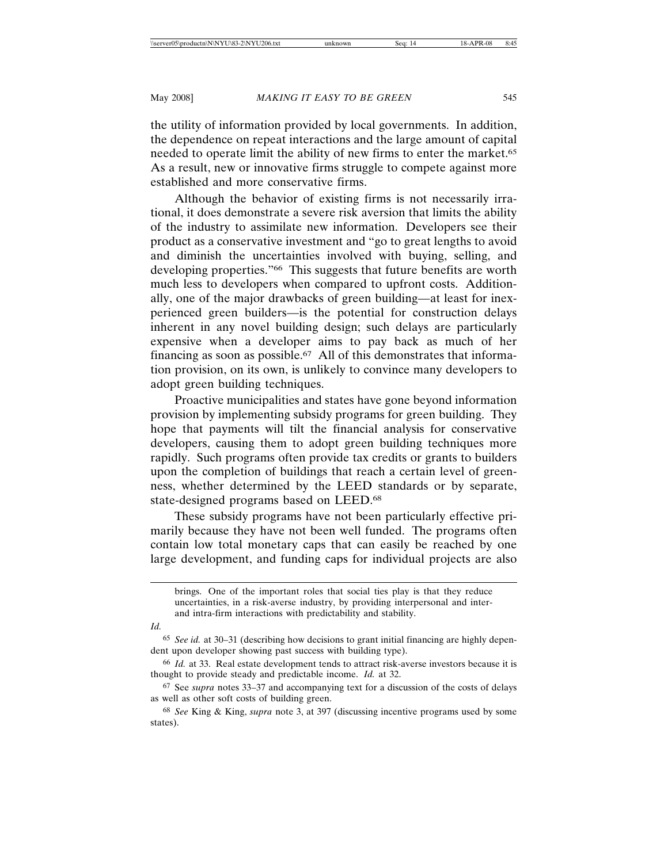the utility of information provided by local governments. In addition, the dependence on repeat interactions and the large amount of capital needed to operate limit the ability of new firms to enter the market.<sup>65</sup> As a result, new or innovative firms struggle to compete against more established and more conservative firms.

Although the behavior of existing firms is not necessarily irrational, it does demonstrate a severe risk aversion that limits the ability of the industry to assimilate new information. Developers see their product as a conservative investment and "go to great lengths to avoid and diminish the uncertainties involved with buying, selling, and developing properties."66 This suggests that future benefits are worth much less to developers when compared to upfront costs. Additionally, one of the major drawbacks of green building—at least for inexperienced green builders—is the potential for construction delays inherent in any novel building design; such delays are particularly expensive when a developer aims to pay back as much of her financing as soon as possible.67 All of this demonstrates that information provision, on its own, is unlikely to convince many developers to adopt green building techniques.

Proactive municipalities and states have gone beyond information provision by implementing subsidy programs for green building. They hope that payments will tilt the financial analysis for conservative developers, causing them to adopt green building techniques more rapidly. Such programs often provide tax credits or grants to builders upon the completion of buildings that reach a certain level of greenness, whether determined by the LEED standards or by separate, state-designed programs based on LEED.68

These subsidy programs have not been particularly effective primarily because they have not been well funded. The programs often contain low total monetary caps that can easily be reached by one large development, and funding caps for individual projects are also

*Id.*

brings. One of the important roles that social ties play is that they reduce uncertainties, in a risk-averse industry, by providing interpersonal and interand intra-firm interactions with predictability and stability.

<sup>65</sup> *See id.* at 30–31 (describing how decisions to grant initial financing are highly dependent upon developer showing past success with building type).

<sup>66</sup> *Id.* at 33. Real estate development tends to attract risk-averse investors because it is thought to provide steady and predictable income. *Id.* at 32.

<sup>67</sup> See *supra* notes 33–37 and accompanying text for a discussion of the costs of delays as well as other soft costs of building green.

<sup>68</sup> *See* King & King, *supra* note 3, at 397 (discussing incentive programs used by some states).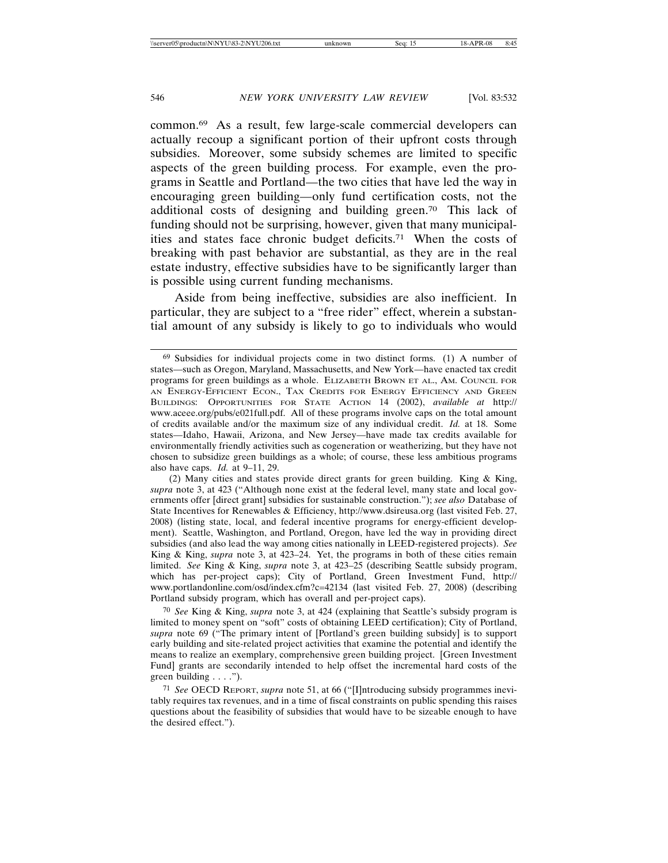common.69 As a result, few large-scale commercial developers can actually recoup a significant portion of their upfront costs through subsidies. Moreover, some subsidy schemes are limited to specific aspects of the green building process. For example, even the programs in Seattle and Portland—the two cities that have led the way in encouraging green building—only fund certification costs, not the additional costs of designing and building green.70 This lack of funding should not be surprising, however, given that many municipalities and states face chronic budget deficits.71 When the costs of breaking with past behavior are substantial, as they are in the real estate industry, effective subsidies have to be significantly larger than is possible using current funding mechanisms.

Aside from being ineffective, subsidies are also inefficient. In particular, they are subject to a "free rider" effect, wherein a substantial amount of any subsidy is likely to go to individuals who would

70 *See* King & King, *supra* note 3, at 424 (explaining that Seattle's subsidy program is limited to money spent on "soft" costs of obtaining LEED certification); City of Portland, *supra* note 69 ("The primary intent of [Portland's green building subsidy] is to support early building and site-related project activities that examine the potential and identify the means to realize an exemplary, comprehensive green building project. [Green Investment Fund] grants are secondarily intended to help offset the incremental hard costs of the green building . . . .").

<sup>69</sup> Subsidies for individual projects come in two distinct forms. (1) A number of states—such as Oregon, Maryland, Massachusetts, and New York—have enacted tax credit programs for green buildings as a whole. ELIZABETH BROWN ET AL., AM. COUNCIL FOR AN ENERGY-EFFICIENT ECON., TAX CREDITS FOR ENERGY EFFICIENCY AND GREEN BUILDINGS: OPPORTUNITIES FOR STATE ACTION 14 (2002), *available at* http:// www.aceee.org/pubs/e021full.pdf. All of these programs involve caps on the total amount of credits available and/or the maximum size of any individual credit. *Id.* at 18. Some states—Idaho, Hawaii, Arizona, and New Jersey—have made tax credits available for environmentally friendly activities such as cogeneration or weatherizing, but they have not chosen to subsidize green buildings as a whole; of course, these less ambitious programs also have caps. *Id.* at 9–11, 29.

<sup>(2)</sup> Many cities and states provide direct grants for green building. King & King, *supra* note 3, at 423 ("Although none exist at the federal level, many state and local governments offer [direct grant] subsidies for sustainable construction."); *see also* Database of State Incentives for Renewables & Efficiency, http://www.dsireusa.org (last visited Feb. 27, 2008) (listing state, local, and federal incentive programs for energy-efficient development). Seattle, Washington, and Portland, Oregon, have led the way in providing direct subsidies (and also lead the way among cities nationally in LEED-registered projects). *See* King & King, *supra* note 3, at 423–24. Yet, the programs in both of these cities remain limited. *See* King & King, *supra* note 3, at 423–25 (describing Seattle subsidy program, which has per-project caps); City of Portland, Green Investment Fund, http:// www.portlandonline.com/osd/index.cfm?c=42134 (last visited Feb. 27, 2008) (describing Portland subsidy program, which has overall and per-project caps).

<sup>71</sup> *See* OECD REPORT, *supra* note 51, at 66 ("[I]ntroducing subsidy programmes inevitably requires tax revenues, and in a time of fiscal constraints on public spending this raises questions about the feasibility of subsidies that would have to be sizeable enough to have the desired effect.").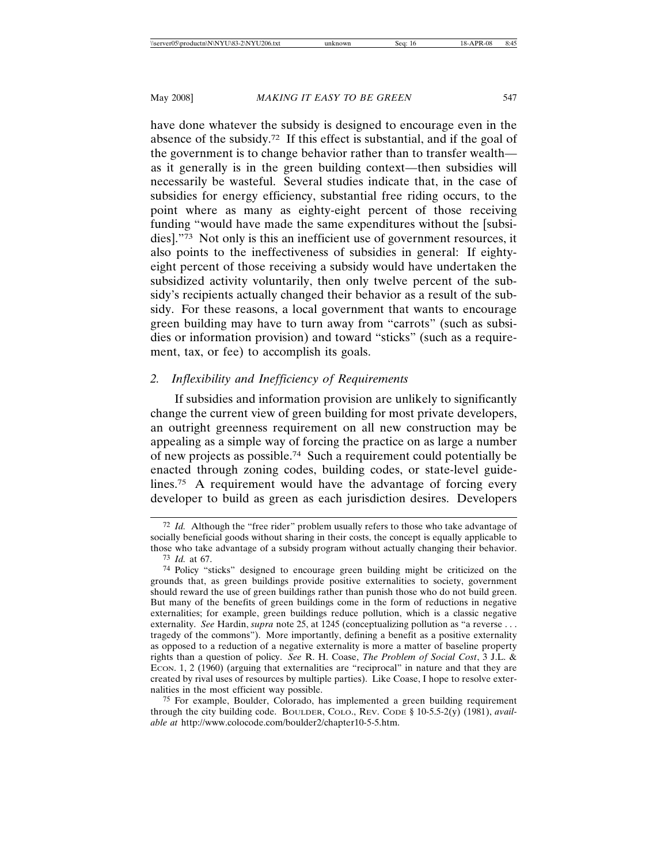have done whatever the subsidy is designed to encourage even in the absence of the subsidy.72 If this effect is substantial, and if the goal of the government is to change behavior rather than to transfer wealth as it generally is in the green building context—then subsidies will necessarily be wasteful. Several studies indicate that, in the case of subsidies for energy efficiency, substantial free riding occurs, to the point where as many as eighty-eight percent of those receiving funding "would have made the same expenditures without the [subsidies]."73 Not only is this an inefficient use of government resources, it also points to the ineffectiveness of subsidies in general: If eightyeight percent of those receiving a subsidy would have undertaken the subsidized activity voluntarily, then only twelve percent of the subsidy's recipients actually changed their behavior as a result of the subsidy. For these reasons, a local government that wants to encourage green building may have to turn away from "carrots" (such as subsidies or information provision) and toward "sticks" (such as a requirement, tax, or fee) to accomplish its goals.

# *2. Inflexibility and Inefficiency of Requirements*

If subsidies and information provision are unlikely to significantly change the current view of green building for most private developers, an outright greenness requirement on all new construction may be appealing as a simple way of forcing the practice on as large a number of new projects as possible.74 Such a requirement could potentially be enacted through zoning codes, building codes, or state-level guidelines.75 A requirement would have the advantage of forcing every developer to build as green as each jurisdiction desires. Developers

<sup>72</sup> *Id.* Although the "free rider" problem usually refers to those who take advantage of socially beneficial goods without sharing in their costs, the concept is equally applicable to those who take advantage of a subsidy program without actually changing their behavior. 73 *Id.* at 67.

<sup>74</sup> Policy "sticks" designed to encourage green building might be criticized on the grounds that, as green buildings provide positive externalities to society, government should reward the use of green buildings rather than punish those who do not build green. But many of the benefits of green buildings come in the form of reductions in negative externalities; for example, green buildings reduce pollution, which is a classic negative externality. *See* Hardin, *supra* note 25, at 1245 (conceptualizing pollution as "a reverse . . . tragedy of the commons"). More importantly, defining a benefit as a positive externality as opposed to a reduction of a negative externality is more a matter of baseline property rights than a question of policy. *See* R. H. Coase, *The Problem of Social Cost*, 3 J.L. & ECON. 1, 2 (1960) (arguing that externalities are "reciprocal" in nature and that they are created by rival uses of resources by multiple parties). Like Coase, I hope to resolve externalities in the most efficient way possible.

<sup>75</sup> For example, Boulder, Colorado, has implemented a green building requirement through the city building code. BOULDER, COLO., REV. CODE § 10-5.5-2(y) (1981), *available at* http://www.colocode.com/boulder2/chapter10-5-5.htm.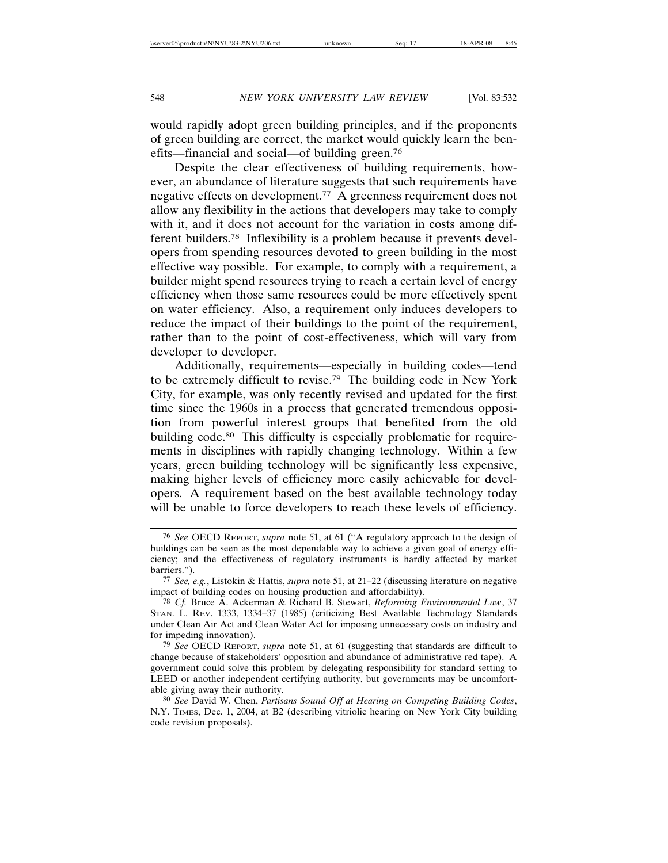would rapidly adopt green building principles, and if the proponents of green building are correct, the market would quickly learn the benefits—financial and social—of building green.76

Despite the clear effectiveness of building requirements, however, an abundance of literature suggests that such requirements have negative effects on development.77 A greenness requirement does not allow any flexibility in the actions that developers may take to comply with it, and it does not account for the variation in costs among different builders.78 Inflexibility is a problem because it prevents developers from spending resources devoted to green building in the most effective way possible. For example, to comply with a requirement, a builder might spend resources trying to reach a certain level of energy efficiency when those same resources could be more effectively spent on water efficiency. Also, a requirement only induces developers to reduce the impact of their buildings to the point of the requirement, rather than to the point of cost-effectiveness, which will vary from developer to developer.

Additionally, requirements—especially in building codes—tend to be extremely difficult to revise.79 The building code in New York City, for example, was only recently revised and updated for the first time since the 1960s in a process that generated tremendous opposition from powerful interest groups that benefited from the old building code.<sup>80</sup> This difficulty is especially problematic for requirements in disciplines with rapidly changing technology. Within a few years, green building technology will be significantly less expensive, making higher levels of efficiency more easily achievable for developers. A requirement based on the best available technology today will be unable to force developers to reach these levels of efficiency.

<sup>76</sup> *See* OECD REPORT, *supra* note 51, at 61 ("A regulatory approach to the design of buildings can be seen as the most dependable way to achieve a given goal of energy efficiency; and the effectiveness of regulatory instruments is hardly affected by market barriers.").

<sup>77</sup> *See, e.g.*, Listokin & Hattis, *supra* note 51, at 21–22 (discussing literature on negative impact of building codes on housing production and affordability).

<sup>78</sup> *Cf.* Bruce A. Ackerman & Richard B. Stewart, *Reforming Environmental Law*, 37 STAN. L. REV. 1333, 1334–37 (1985) (criticizing Best Available Technology Standards under Clean Air Act and Clean Water Act for imposing unnecessary costs on industry and for impeding innovation).

<sup>79</sup> *See* OECD REPORT, *supra* note 51, at 61 (suggesting that standards are difficult to change because of stakeholders' opposition and abundance of administrative red tape). A government could solve this problem by delegating responsibility for standard setting to LEED or another independent certifying authority, but governments may be uncomfortable giving away their authority.

<sup>80</sup> *See* David W. Chen, *Partisans Sound Off at Hearing on Competing Building Codes*, N.Y. TIMES, Dec. 1, 2004, at B2 (describing vitriolic hearing on New York City building code revision proposals).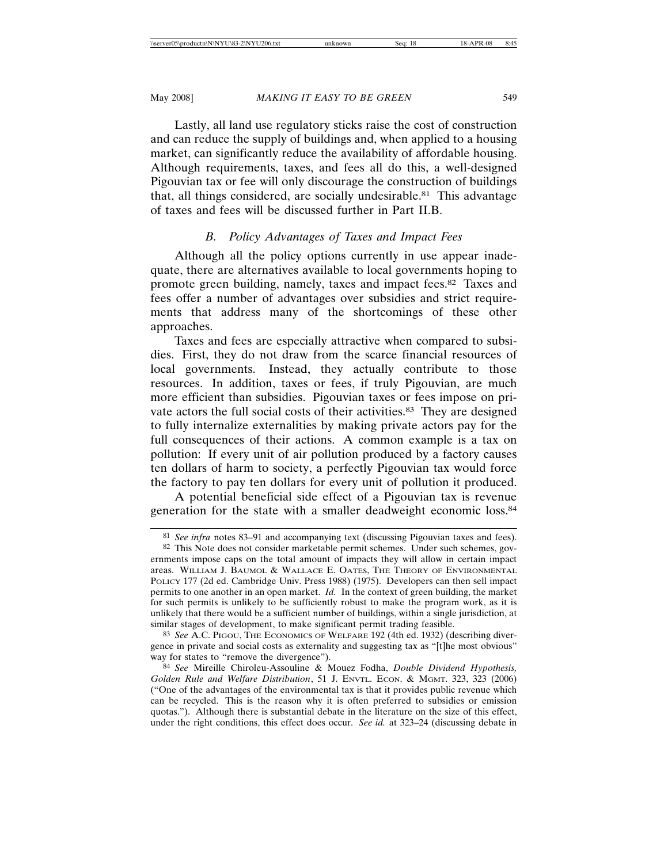Lastly, all land use regulatory sticks raise the cost of construction and can reduce the supply of buildings and, when applied to a housing market, can significantly reduce the availability of affordable housing. Although requirements, taxes, and fees all do this, a well-designed Pigouvian tax or fee will only discourage the construction of buildings that, all things considered, are socially undesirable.81 This advantage of taxes and fees will be discussed further in Part II.B.

# *B. Policy Advantages of Taxes and Impact Fees*

Although all the policy options currently in use appear inadequate, there are alternatives available to local governments hoping to promote green building, namely, taxes and impact fees.82 Taxes and fees offer a number of advantages over subsidies and strict requirements that address many of the shortcomings of these other approaches.

Taxes and fees are especially attractive when compared to subsidies. First, they do not draw from the scarce financial resources of local governments. Instead, they actually contribute to those resources. In addition, taxes or fees, if truly Pigouvian, are much more efficient than subsidies. Pigouvian taxes or fees impose on private actors the full social costs of their activities.<sup>83</sup> They are designed to fully internalize externalities by making private actors pay for the full consequences of their actions. A common example is a tax on pollution: If every unit of air pollution produced by a factory causes ten dollars of harm to society, a perfectly Pigouvian tax would force the factory to pay ten dollars for every unit of pollution it produced.

A potential beneficial side effect of a Pigouvian tax is revenue generation for the state with a smaller deadweight economic loss.84

<sup>81</sup> *See infra* notes 83–91 and accompanying text (discussing Pigouvian taxes and fees).

<sup>82</sup> This Note does not consider marketable permit schemes. Under such schemes, governments impose caps on the total amount of impacts they will allow in certain impact areas. WILLIAM J. BAUMOL & WALLACE E. OATES, THE THEORY OF ENVIRONMENTAL POLICY 177 (2d ed. Cambridge Univ. Press 1988) (1975). Developers can then sell impact permits to one another in an open market. *Id.* In the context of green building, the market for such permits is unlikely to be sufficiently robust to make the program work, as it is unlikely that there would be a sufficient number of buildings, within a single jurisdiction, at similar stages of development, to make significant permit trading feasible.

<sup>83</sup> *See* A.C. PIGOU, THE ECONOMICS OF WELFARE 192 (4th ed. 1932) (describing divergence in private and social costs as externality and suggesting tax as "[t]he most obvious" way for states to "remove the divergence").

<sup>84</sup> *See* Mireille Chiroleu-Assouline & Mouez Fodha, *Double Dividend Hypothesis, Golden Rule and Welfare Distribution*, 51 J. ENVTL. ECON. & MGMT. 323, 323 (2006) ("One of the advantages of the environmental tax is that it provides public revenue which can be recycled. This is the reason why it is often preferred to subsidies or emission quotas."). Although there is substantial debate in the literature on the size of this effect, under the right conditions, this effect does occur. *See id.* at 323–24 (discussing debate in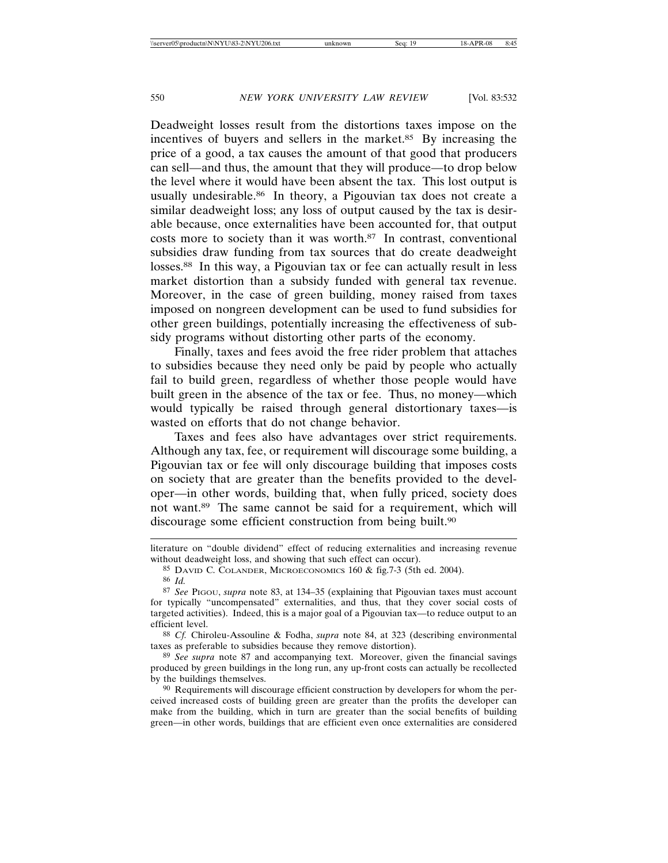Deadweight losses result from the distortions taxes impose on the incentives of buyers and sellers in the market.<sup>85</sup> By increasing the price of a good, a tax causes the amount of that good that producers can sell—and thus, the amount that they will produce—to drop below the level where it would have been absent the tax. This lost output is usually undesirable.86 In theory, a Pigouvian tax does not create a similar deadweight loss; any loss of output caused by the tax is desirable because, once externalities have been accounted for, that output costs more to society than it was worth.87 In contrast, conventional subsidies draw funding from tax sources that do create deadweight losses.<sup>88</sup> In this way, a Pigouvian tax or fee can actually result in less market distortion than a subsidy funded with general tax revenue. Moreover, in the case of green building, money raised from taxes imposed on nongreen development can be used to fund subsidies for other green buildings, potentially increasing the effectiveness of subsidy programs without distorting other parts of the economy.

Finally, taxes and fees avoid the free rider problem that attaches to subsidies because they need only be paid by people who actually fail to build green, regardless of whether those people would have built green in the absence of the tax or fee. Thus, no money—which would typically be raised through general distortionary taxes—is wasted on efforts that do not change behavior.

Taxes and fees also have advantages over strict requirements. Although any tax, fee, or requirement will discourage some building, a Pigouvian tax or fee will only discourage building that imposes costs on society that are greater than the benefits provided to the developer—in other words, building that, when fully priced, society does not want.89 The same cannot be said for a requirement, which will discourage some efficient construction from being built.<sup>90</sup>

88 *Cf.* Chiroleu-Assouline & Fodha, *supra* note 84, at 323 (describing environmental taxes as preferable to subsidies because they remove distortion).

89 *See supra* note 87 and accompanying text. Moreover, given the financial savings produced by green buildings in the long run, any up-front costs can actually be recollected by the buildings themselves.

90 Requirements will discourage efficient construction by developers for whom the perceived increased costs of building green are greater than the profits the developer can make from the building, which in turn are greater than the social benefits of building green—in other words, buildings that are efficient even once externalities are considered

literature on "double dividend" effect of reducing externalities and increasing revenue without deadweight loss, and showing that such effect can occur).

<sup>85</sup> DAVID C. COLANDER, MICROECONOMICS 160 & fig.7-3 (5th ed. 2004).

<sup>86</sup> *Id.*

<sup>87</sup> *See* PIGOU, *supra* note 83, at 134–35 (explaining that Pigouvian taxes must account for typically "uncompensated" externalities, and thus, that they cover social costs of targeted activities). Indeed, this is a major goal of a Pigouvian tax—to reduce output to an efficient level.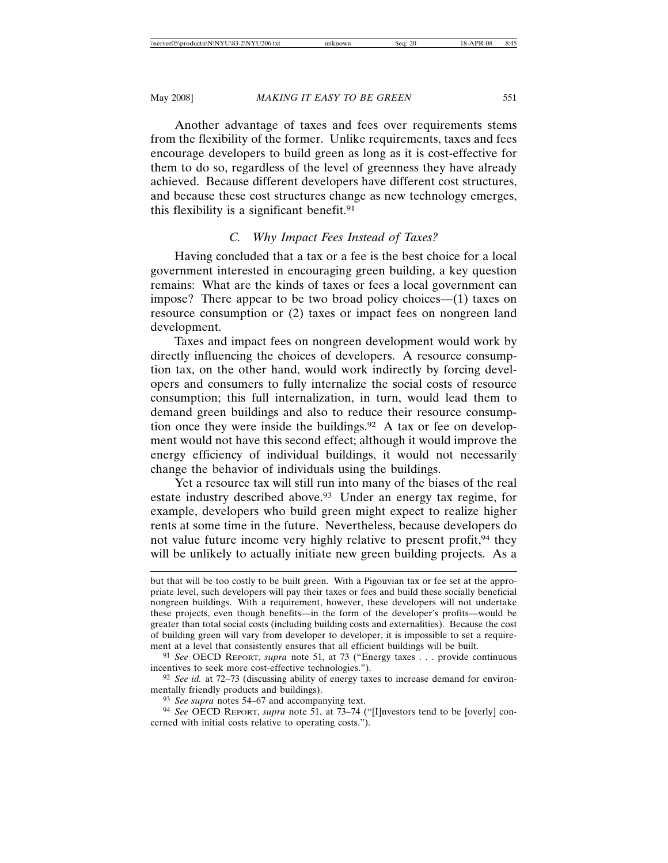Another advantage of taxes and fees over requirements stems from the flexibility of the former. Unlike requirements, taxes and fees encourage developers to build green as long as it is cost-effective for them to do so, regardless of the level of greenness they have already achieved. Because different developers have different cost structures, and because these cost structures change as new technology emerges, this flexibility is a significant benefit. $91$ 

# *C. Why Impact Fees Instead of Taxes?*

Having concluded that a tax or a fee is the best choice for a local government interested in encouraging green building, a key question remains: What are the kinds of taxes or fees a local government can impose? There appear to be two broad policy choices—(1) taxes on resource consumption or (2) taxes or impact fees on nongreen land development.

Taxes and impact fees on nongreen development would work by directly influencing the choices of developers. A resource consumption tax, on the other hand, would work indirectly by forcing developers and consumers to fully internalize the social costs of resource consumption; this full internalization, in turn, would lead them to demand green buildings and also to reduce their resource consumption once they were inside the buildings.<sup>92</sup> A tax or fee on development would not have this second effect; although it would improve the energy efficiency of individual buildings, it would not necessarily change the behavior of individuals using the buildings.

Yet a resource tax will still run into many of the biases of the real estate industry described above.93 Under an energy tax regime, for example, developers who build green might expect to realize higher rents at some time in the future. Nevertheless, because developers do not value future income very highly relative to present profit,<sup>94</sup> they will be unlikely to actually initiate new green building projects. As a

but that will be too costly to be built green. With a Pigouvian tax or fee set at the appropriate level, such developers will pay their taxes or fees and build these socially beneficial nongreen buildings. With a requirement, however, these developers will not undertake these projects, even though benefits—in the form of the developer's profits—would be greater than total social costs (including building costs and externalities). Because the cost of building green will vary from developer to developer, it is impossible to set a requirement at a level that consistently ensures that all efficient buildings will be built.

<sup>91</sup> *See* OECD REPORT, *supra* note 51, at 73 ("Energy taxes . . . provide continuous incentives to seek more cost-effective technologies.").

<sup>92</sup> *See id.* at 72–73 (discussing ability of energy taxes to increase demand for environmentally friendly products and buildings).

<sup>93</sup> *See supra* notes 54–67 and accompanying text.

<sup>94</sup> *See* OECD REPORT, *supra* note 51, at 73–74 ("[I]nvestors tend to be [overly] concerned with initial costs relative to operating costs.").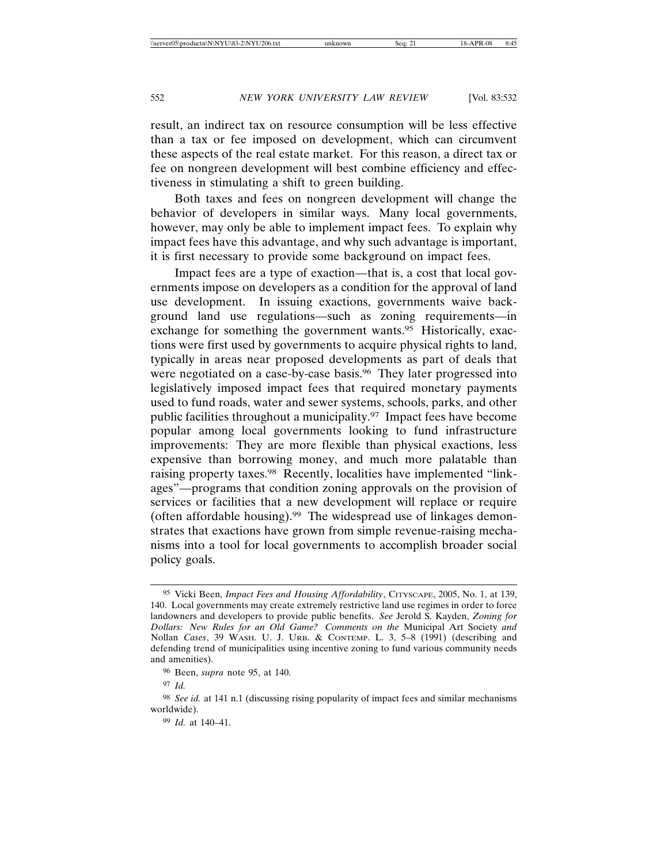result, an indirect tax on resource consumption will be less effective than a tax or fee imposed on development, which can circumvent these aspects of the real estate market. For this reason, a direct tax or fee on nongreen development will best combine efficiency and effectiveness in stimulating a shift to green building.

Both taxes and fees on nongreen development will change the behavior of developers in similar ways. Many local governments, however, may only be able to implement impact fees. To explain why impact fees have this advantage, and why such advantage is important, it is first necessary to provide some background on impact fees.

Impact fees are a type of exaction—that is, a cost that local governments impose on developers as a condition for the approval of land use development. In issuing exactions, governments waive background land use regulations—such as zoning requirements—in exchange for something the government wants.<sup>95</sup> Historically, exactions were first used by governments to acquire physical rights to land, typically in areas near proposed developments as part of deals that were negotiated on a case-by-case basis.<sup>96</sup> They later progressed into legislatively imposed impact fees that required monetary payments used to fund roads, water and sewer systems, schools, parks, and other public facilities throughout a municipality.97 Impact fees have become popular among local governments looking to fund infrastructure improvements: They are more flexible than physical exactions, less expensive than borrowing money, and much more palatable than raising property taxes.<sup>98</sup> Recently, localities have implemented "linkages"—programs that condition zoning approvals on the provision of services or facilities that a new development will replace or require (often affordable housing).99 The widespread use of linkages demonstrates that exactions have grown from simple revenue-raising mechanisms into a tool for local governments to accomplish broader social policy goals.

<sup>95</sup> Vicki Been, *Impact Fees and Housing Affordability*, CITYSCAPE, 2005, No. 1, at 139, 140. Local governments may create extremely restrictive land use regimes in order to force landowners and developers to provide public benefits. *See* Jerold S. Kayden, *Zoning for Dollars: New Rules for an Old Game? Comments on the* Municipal Art Society *and* Nollan *Cases*, 39 WASH. U. J. URB. & CONTEMP. L. 3, 5–8 (1991) (describing and defending trend of municipalities using incentive zoning to fund various community needs and amenities).

<sup>96</sup> Been, *supra* note 95, at 140.

<sup>97</sup> *Id.*

<sup>98</sup> *See id.* at 141 n.1 (discussing rising popularity of impact fees and similar mechanisms worldwide).

<sup>99</sup> *Id.* at 140–41.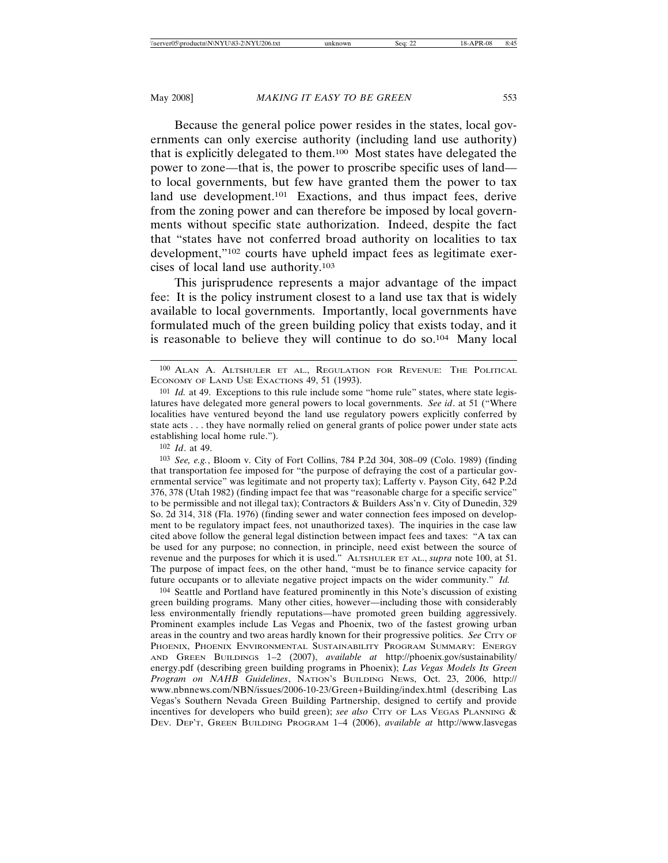Because the general police power resides in the states, local governments can only exercise authority (including land use authority) that is explicitly delegated to them.100 Most states have delegated the power to zone—that is, the power to proscribe specific uses of land to local governments, but few have granted them the power to tax land use development.<sup>101</sup> Exactions, and thus impact fees, derive from the zoning power and can therefore be imposed by local governments without specific state authorization. Indeed, despite the fact that "states have not conferred broad authority on localities to tax development,"102 courts have upheld impact fees as legitimate exercises of local land use authority.103

This jurisprudence represents a major advantage of the impact fee: It is the policy instrument closest to a land use tax that is widely available to local governments. Importantly, local governments have formulated much of the green building policy that exists today, and it is reasonable to believe they will continue to do so.104 Many local

102 *Id*. at 49.

103 *See, e.g.*, Bloom v. City of Fort Collins, 784 P.2d 304, 308–09 (Colo. 1989) (finding that transportation fee imposed for "the purpose of defraying the cost of a particular governmental service" was legitimate and not property tax); Lafferty v. Payson City, 642 P.2d 376, 378 (Utah 1982) (finding impact fee that was "reasonable charge for a specific service" to be permissible and not illegal tax); Contractors & Builders Ass'n v. City of Dunedin, 329 So. 2d 314, 318 (Fla. 1976) (finding sewer and water connection fees imposed on development to be regulatory impact fees, not unauthorized taxes). The inquiries in the case law cited above follow the general legal distinction between impact fees and taxes: "A tax can be used for any purpose; no connection, in principle, need exist between the source of revenue and the purposes for which it is used." ALTSHULER ET AL., *supra* note 100, at 51. The purpose of impact fees, on the other hand, "must be to finance service capacity for future occupants or to alleviate negative project impacts on the wider community." *Id.*

104 Seattle and Portland have featured prominently in this Note's discussion of existing green building programs. Many other cities, however—including those with considerably less environmentally friendly reputations—have promoted green building aggressively. Prominent examples include Las Vegas and Phoenix, two of the fastest growing urban areas in the country and two areas hardly known for their progressive politics. *See* CITY OF PHOENIX, PHOENIX ENVIRONMENTAL SUSTAINABILITY PROGRAM SUMMARY: ENERGY AND GREEN BUILDINGS 1–2 (2007), *available at* http://phoenix.gov/sustainability/ energy.pdf (describing green building programs in Phoenix); *Las Vegas Models Its Green Program on NAHB Guidelines*, NATION'S BUILDING NEWS, Oct. 23, 2006, http:// www.nbnnews.com/NBN/issues/2006-10-23/Green+Building/index.html (describing Las Vegas's Southern Nevada Green Building Partnership, designed to certify and provide incentives for developers who build green); *see also* CITY OF LAS VEGAS PLANNING & DEV. DEP'T, GREEN BUILDING PROGRAM 1–4 (2006), *available at* http://www.lasvegas

<sup>100</sup> ALAN A. ALTSHULER ET AL., REGULATION FOR REVENUE: THE POLITICAL ECONOMY OF LAND USE EXACTIONS 49, 51 (1993).

<sup>101</sup> *Id.* at 49. Exceptions to this rule include some "home rule" states, where state legislatures have delegated more general powers to local governments. *See id*. at 51 ("Where localities have ventured beyond the land use regulatory powers explicitly conferred by state acts . . . they have normally relied on general grants of police power under state acts establishing local home rule.").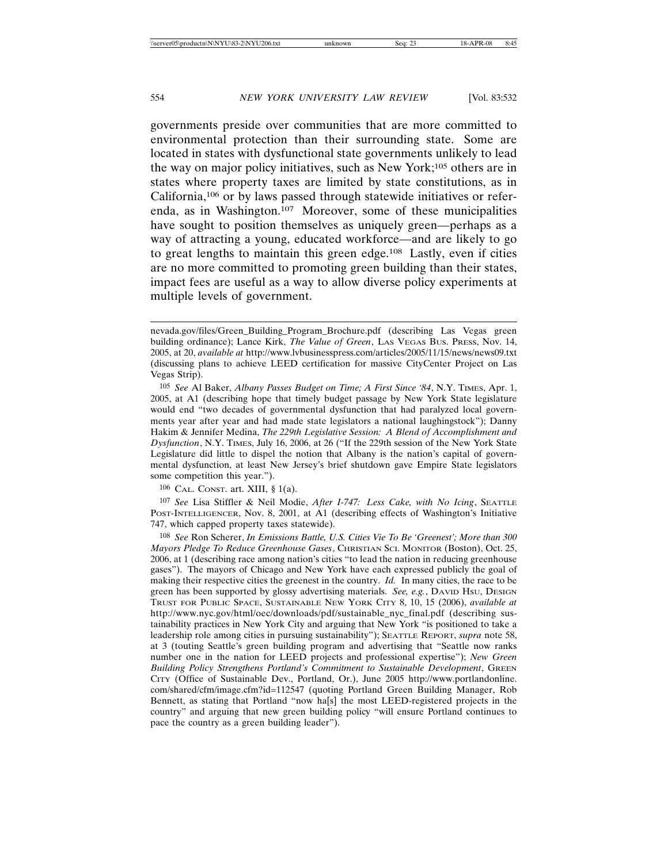governments preside over communities that are more committed to environmental protection than their surrounding state. Some are located in states with dysfunctional state governments unlikely to lead the way on major policy initiatives, such as New York;105 others are in states where property taxes are limited by state constitutions, as in California,106 or by laws passed through statewide initiatives or referenda, as in Washington.107 Moreover, some of these municipalities have sought to position themselves as uniquely green—perhaps as a way of attracting a young, educated workforce—and are likely to go to great lengths to maintain this green edge.108 Lastly, even if cities are no more committed to promoting green building than their states, impact fees are useful as a way to allow diverse policy experiments at multiple levels of government.

 $106$  CAL. CONST. art. XIII, § 1(a).

107 *See* Lisa Stiffler & Neil Modie, *After I-747: Less Cake, with No Icing*, SEATTLE POST-INTELLIGENCER, Nov. 8, 2001, at A1 (describing effects of Washington's Initiative 747, which capped property taxes statewide).

nevada.gov/files/Green\_Building\_Program\_Brochure.pdf (describing Las Vegas green building ordinance); Lance Kirk, *The Value of Green*, LAS VEGAS BUS. PRESS, Nov. 14, 2005, at 20, *available at* http://www.lvbusinesspress.com/articles/2005/11/15/news/news09.txt (discussing plans to achieve LEED certification for massive CityCenter Project on Las Vegas Strip).

<sup>105</sup> *See* Al Baker, *Albany Passes Budget on Time; A First Since '84*, N.Y. TIMES, Apr. 1, 2005, at A1 (describing hope that timely budget passage by New York State legislature would end "two decades of governmental dysfunction that had paralyzed local governments year after year and had made state legislators a national laughingstock"); Danny Hakim & Jennifer Medina, *The 229th Legislative Session: A Blend of Accomplishment and Dysfunction*, N.Y. TIMES, July 16, 2006, at 26 ("If the 229th session of the New York State Legislature did little to dispel the notion that Albany is the nation's capital of governmental dysfunction, at least New Jersey's brief shutdown gave Empire State legislators some competition this year.").

<sup>108</sup> *See* Ron Scherer, *In Emissions Battle, U.S. Cities Vie To Be 'Greenest'; More than 300 Mayors Pledge To Reduce Greenhouse Gases*, CHRISTIAN SCI. MONITOR (Boston), Oct. 25, 2006, at 1 (describing race among nation's cities "to lead the nation in reducing greenhouse gases"). The mayors of Chicago and New York have each expressed publicly the goal of making their respective cities the greenest in the country. *Id.* In many cities, the race to be green has been supported by glossy advertising materials. *See, e.g.*, DAVID Hsu, DESIGN TRUST FOR PUBLIC SPACE, SUSTAINABLE NEW YORK CITY 8, 10, 15 (2006), *available at* http://www.nyc.gov/html/oec/downloads/pdf/sustainable\_nyc\_final.pdf (describing sustainability practices in New York City and arguing that New York "is positioned to take a leadership role among cities in pursuing sustainability"); SEATTLE REPORT, *supra* note 58, at 3 (touting Seattle's green building program and advertising that "Seattle now ranks number one in the nation for LEED projects and professional expertise"); *New Green Building Policy Strengthens Portland's Commitment to Sustainable Development*, GREEN CITY (Office of Sustainable Dev., Portland, Or.), June 2005 http://www.portlandonline. com/shared/cfm/image.cfm?id=112547 (quoting Portland Green Building Manager, Rob Bennett, as stating that Portland "now ha[s] the most LEED-registered projects in the country" and arguing that new green building policy "will ensure Portland continues to pace the country as a green building leader").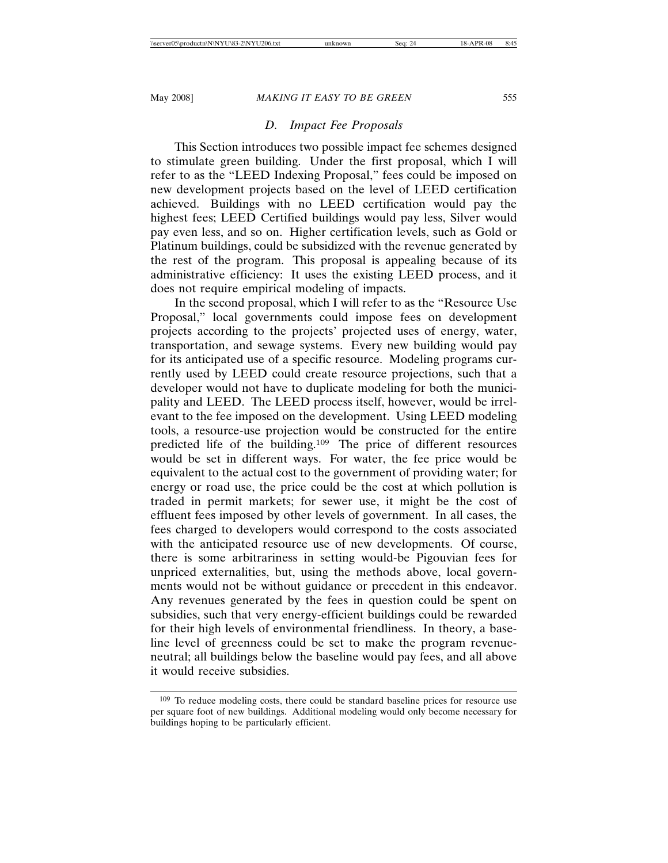# *D. Impact Fee Proposals*

This Section introduces two possible impact fee schemes designed to stimulate green building. Under the first proposal, which I will refer to as the "LEED Indexing Proposal," fees could be imposed on new development projects based on the level of LEED certification achieved. Buildings with no LEED certification would pay the highest fees; LEED Certified buildings would pay less, Silver would pay even less, and so on. Higher certification levels, such as Gold or Platinum buildings, could be subsidized with the revenue generated by the rest of the program. This proposal is appealing because of its administrative efficiency: It uses the existing LEED process, and it does not require empirical modeling of impacts.

In the second proposal, which I will refer to as the "Resource Use Proposal," local governments could impose fees on development projects according to the projects' projected uses of energy, water, transportation, and sewage systems. Every new building would pay for its anticipated use of a specific resource. Modeling programs currently used by LEED could create resource projections, such that a developer would not have to duplicate modeling for both the municipality and LEED. The LEED process itself, however, would be irrelevant to the fee imposed on the development. Using LEED modeling tools, a resource-use projection would be constructed for the entire predicted life of the building.109 The price of different resources would be set in different ways. For water, the fee price would be equivalent to the actual cost to the government of providing water; for energy or road use, the price could be the cost at which pollution is traded in permit markets; for sewer use, it might be the cost of effluent fees imposed by other levels of government. In all cases, the fees charged to developers would correspond to the costs associated with the anticipated resource use of new developments. Of course, there is some arbitrariness in setting would-be Pigouvian fees for unpriced externalities, but, using the methods above, local governments would not be without guidance or precedent in this endeavor. Any revenues generated by the fees in question could be spent on subsidies, such that very energy-efficient buildings could be rewarded for their high levels of environmental friendliness. In theory, a baseline level of greenness could be set to make the program revenueneutral; all buildings below the baseline would pay fees, and all above it would receive subsidies.

<sup>109</sup> To reduce modeling costs, there could be standard baseline prices for resource use per square foot of new buildings. Additional modeling would only become necessary for buildings hoping to be particularly efficient.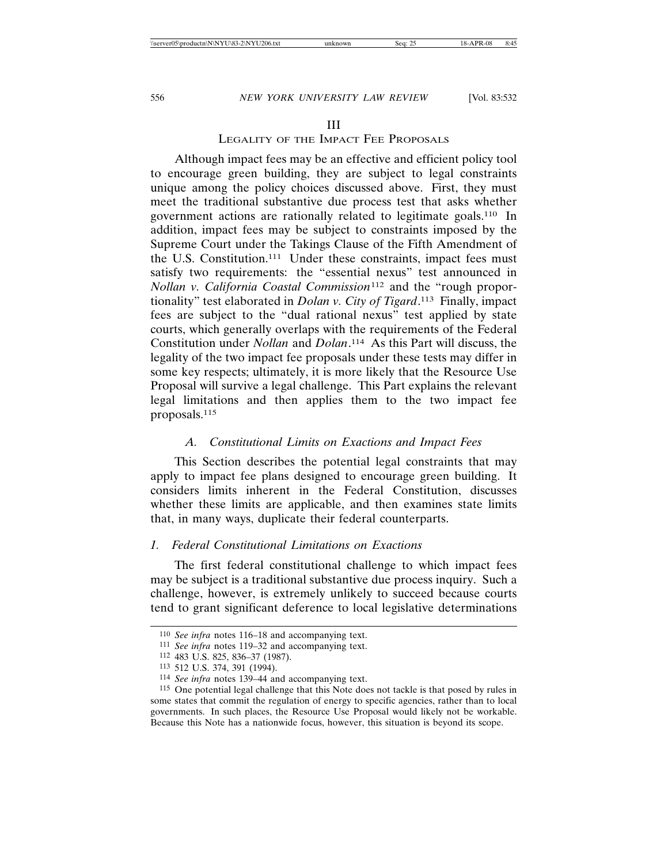# III

# LEGALITY OF THE IMPACT FEE PROPOSALS

Although impact fees may be an effective and efficient policy tool to encourage green building, they are subject to legal constraints unique among the policy choices discussed above. First, they must meet the traditional substantive due process test that asks whether government actions are rationally related to legitimate goals.110 In addition, impact fees may be subject to constraints imposed by the Supreme Court under the Takings Clause of the Fifth Amendment of the U.S. Constitution.111 Under these constraints, impact fees must satisfy two requirements: the "essential nexus" test announced in *Nollan v. California Coastal Commission*112 and the "rough proportionality" test elaborated in *Dolan v. City of Tigard*. 113 Finally, impact fees are subject to the "dual rational nexus" test applied by state courts, which generally overlaps with the requirements of the Federal Constitution under *Nollan* and *Dolan*. 114 As this Part will discuss, the legality of the two impact fee proposals under these tests may differ in some key respects; ultimately, it is more likely that the Resource Use Proposal will survive a legal challenge. This Part explains the relevant legal limitations and then applies them to the two impact fee proposals.115

# *A. Constitutional Limits on Exactions and Impact Fees*

This Section describes the potential legal constraints that may apply to impact fee plans designed to encourage green building. It considers limits inherent in the Federal Constitution, discusses whether these limits are applicable, and then examines state limits that, in many ways, duplicate their federal counterparts.

# *1. Federal Constitutional Limitations on Exactions*

The first federal constitutional challenge to which impact fees may be subject is a traditional substantive due process inquiry. Such a challenge, however, is extremely unlikely to succeed because courts tend to grant significant deference to local legislative determinations

<sup>110</sup> *See infra* notes 116–18 and accompanying text.

<sup>111</sup> *See infra* notes 119–32 and accompanying text.

<sup>112</sup> 483 U.S. 825, 836–37 (1987).

<sup>113</sup> 512 U.S. 374, 391 (1994).

<sup>114</sup> *See infra* notes 139–44 and accompanying text.

<sup>115</sup> One potential legal challenge that this Note does not tackle is that posed by rules in some states that commit the regulation of energy to specific agencies, rather than to local governments. In such places, the Resource Use Proposal would likely not be workable. Because this Note has a nationwide focus, however, this situation is beyond its scope.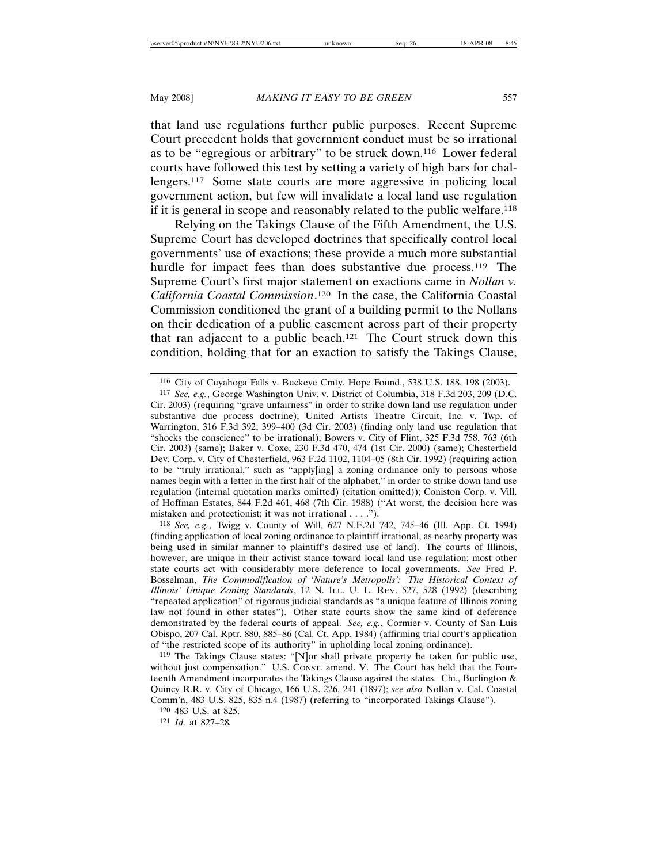that land use regulations further public purposes. Recent Supreme Court precedent holds that government conduct must be so irrational as to be "egregious or arbitrary" to be struck down.116 Lower federal courts have followed this test by setting a variety of high bars for challengers.117 Some state courts are more aggressive in policing local government action, but few will invalidate a local land use regulation if it is general in scope and reasonably related to the public welfare.118

Relying on the Takings Clause of the Fifth Amendment, the U.S. Supreme Court has developed doctrines that specifically control local governments' use of exactions; these provide a much more substantial hurdle for impact fees than does substantive due process.<sup>119</sup> The Supreme Court's first major statement on exactions came in *Nollan v. California Coastal Commission*. 120 In the case, the California Coastal Commission conditioned the grant of a building permit to the Nollans on their dedication of a public easement across part of their property that ran adjacent to a public beach.121 The Court struck down this condition, holding that for an exaction to satisfy the Takings Clause,

<sup>116</sup> City of Cuyahoga Falls v. Buckeye Cmty. Hope Found., 538 U.S. 188, 198 (2003).

<sup>117</sup> *See, e.g.*, George Washington Univ. v. District of Columbia, 318 F.3d 203, 209 (D.C. Cir. 2003) (requiring "grave unfairness" in order to strike down land use regulation under substantive due process doctrine); United Artists Theatre Circuit, Inc. v. Twp. of Warrington, 316 F.3d 392, 399–400 (3d Cir. 2003) (finding only land use regulation that "shocks the conscience" to be irrational); Bowers v. City of Flint, 325 F.3d 758, 763 (6th Cir. 2003) (same); Baker v. Coxe, 230 F.3d 470, 474 (1st Cir. 2000) (same); Chesterfield Dev. Corp. v. City of Chesterfield, 963 F.2d 1102, 1104–05 (8th Cir. 1992) (requiring action to be "truly irrational," such as "apply[ing] a zoning ordinance only to persons whose names begin with a letter in the first half of the alphabet," in order to strike down land use regulation (internal quotation marks omitted) (citation omitted)); Coniston Corp. v. Vill. of Hoffman Estates, 844 F.2d 461, 468 (7th Cir. 1988) ("At worst, the decision here was mistaken and protectionist; it was not irrational . . . .").

<sup>118</sup> *See, e.g.*, Twigg v. County of Will, 627 N.E.2d 742, 745–46 (Ill. App. Ct. 1994) (finding application of local zoning ordinance to plaintiff irrational, as nearby property was being used in similar manner to plaintiff's desired use of land). The courts of Illinois, however, are unique in their activist stance toward local land use regulation; most other state courts act with considerably more deference to local governments. *See* Fred P. Bosselman, *The Commodification of 'Nature's Metropolis': The Historical Context of Illinois' Unique Zoning Standards*, 12 N. ILL. U. L. REV. 527, 528 (1992) (describing "repeated application" of rigorous judicial standards as "a unique feature of Illinois zoning law not found in other states"). Other state courts show the same kind of deference demonstrated by the federal courts of appeal. *See, e.g.*, Cormier v. County of San Luis Obispo, 207 Cal. Rptr. 880, 885–86 (Cal. Ct. App. 1984) (affirming trial court's application of "the restricted scope of its authority" in upholding local zoning ordinance).

<sup>119</sup> The Takings Clause states: "[N]or shall private property be taken for public use, without just compensation." U.S. CONST. amend. V. The Court has held that the Fourteenth Amendment incorporates the Takings Clause against the states. Chi., Burlington & Quincy R.R. v. City of Chicago, 166 U.S. 226, 241 (1897); *see also* Nollan v. Cal. Coastal Comm'n, 483 U.S. 825, 835 n.4 (1987) (referring to "incorporated Takings Clause").

<sup>120</sup> 483 U.S. at 825.

<sup>121</sup> *Id.* at 827–28*.*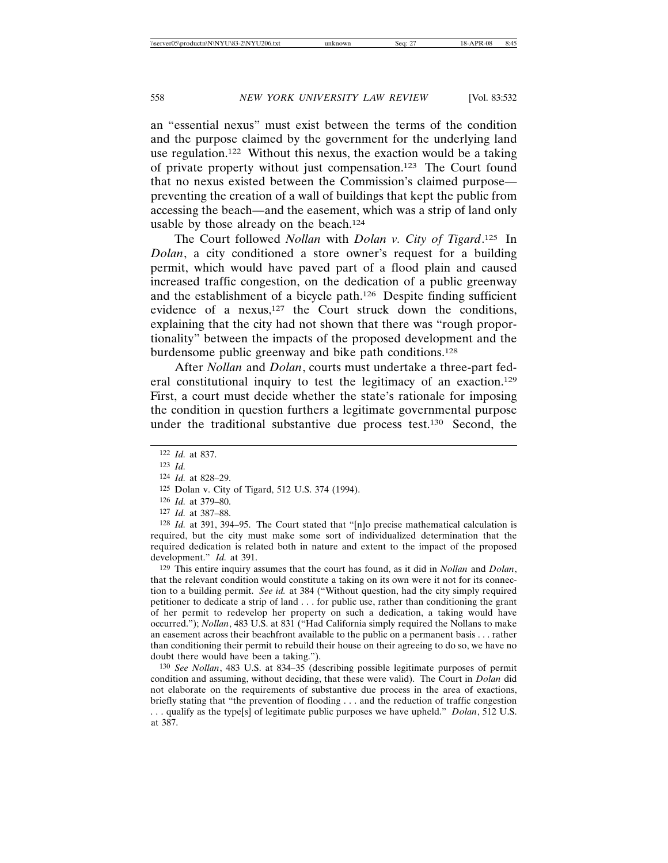an "essential nexus" must exist between the terms of the condition and the purpose claimed by the government for the underlying land use regulation.122 Without this nexus, the exaction would be a taking of private property without just compensation.123 The Court found that no nexus existed between the Commission's claimed purpose preventing the creation of a wall of buildings that kept the public from accessing the beach—and the easement, which was a strip of land only usable by those already on the beach.124

The Court followed *Nollan* with *Dolan v. City of Tigard*. 125 In *Dolan*, a city conditioned a store owner's request for a building permit, which would have paved part of a flood plain and caused increased traffic congestion, on the dedication of a public greenway and the establishment of a bicycle path.126 Despite finding sufficient evidence of a nexus,<sup>127</sup> the Court struck down the conditions, explaining that the city had not shown that there was "rough proportionality" between the impacts of the proposed development and the burdensome public greenway and bike path conditions.128

After *Nollan* and *Dolan*, courts must undertake a three-part federal constitutional inquiry to test the legitimacy of an exaction.129 First, a court must decide whether the state's rationale for imposing the condition in question furthers a legitimate governmental purpose under the traditional substantive due process test.130 Second, the

129 This entire inquiry assumes that the court has found, as it did in *Nollan* and *Dolan*, that the relevant condition would constitute a taking on its own were it not for its connection to a building permit. *See id.* at 384 ("Without question, had the city simply required petitioner to dedicate a strip of land . . . for public use, rather than conditioning the grant of her permit to redevelop her property on such a dedication, a taking would have occurred."); *Nollan*, 483 U.S. at 831 ("Had California simply required the Nollans to make an easement across their beachfront available to the public on a permanent basis . . . rather than conditioning their permit to rebuild their house on their agreeing to do so, we have no doubt there would have been a taking.").

130 *See Nollan*, 483 U.S. at 834–35 (describing possible legitimate purposes of permit condition and assuming, without deciding, that these were valid). The Court in *Dolan* did not elaborate on the requirements of substantive due process in the area of exactions, briefly stating that "the prevention of flooding . . . and the reduction of traffic congestion . . . qualify as the type[s] of legitimate public purposes we have upheld." *Dolan*, 512 U.S. at 387.

<sup>122</sup> *Id.* at 837.

<sup>123</sup> *Id.*

<sup>124</sup> *Id.* at 828–29.

<sup>125</sup> Dolan v. City of Tigard, 512 U.S. 374 (1994).

<sup>126</sup> *Id.* at 379–80.

<sup>127</sup> *Id.* at 387–88.

<sup>128</sup> *Id.* at 391, 394–95. The Court stated that "[n]o precise mathematical calculation is required, but the city must make some sort of individualized determination that the required dedication is related both in nature and extent to the impact of the proposed development." *Id.* at 391.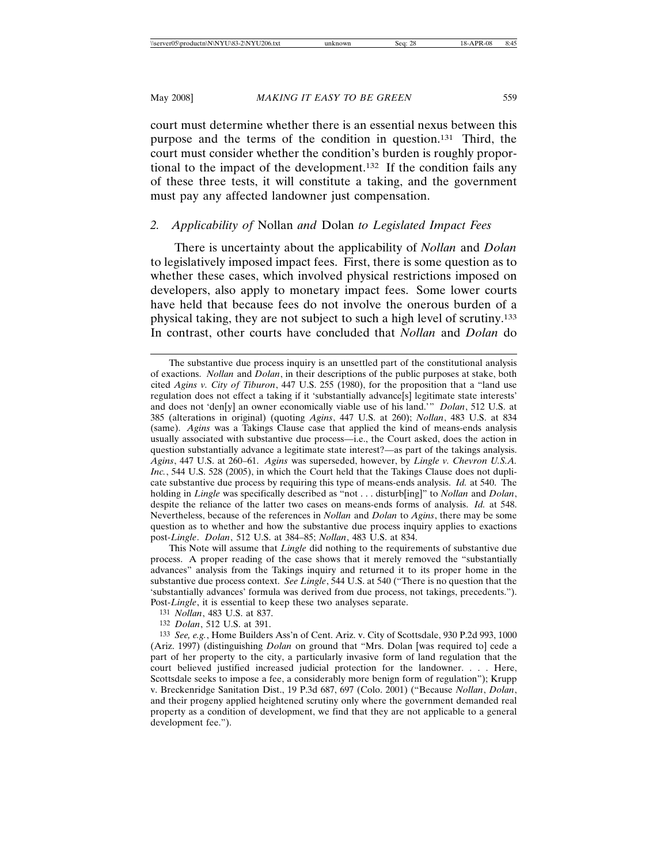court must determine whether there is an essential nexus between this purpose and the terms of the condition in question.131 Third, the court must consider whether the condition's burden is roughly proportional to the impact of the development.132 If the condition fails any of these three tests, it will constitute a taking, and the government must pay any affected landowner just compensation.

# *2. Applicability of* Nollan *and* Dolan *to Legislated Impact Fees*

There is uncertainty about the applicability of *Nollan* and *Dolan* to legislatively imposed impact fees. First, there is some question as to whether these cases, which involved physical restrictions imposed on developers, also apply to monetary impact fees. Some lower courts have held that because fees do not involve the onerous burden of a physical taking, they are not subject to such a high level of scrutiny.133 In contrast, other courts have concluded that *Nollan* and *Dolan* do

This Note will assume that *Lingle* did nothing to the requirements of substantive due process. A proper reading of the case shows that it merely removed the "substantially advances" analysis from the Takings inquiry and returned it to its proper home in the substantive due process context. *See Lingle*, 544 U.S. at 540 ("There is no question that the 'substantially advances' formula was derived from due process, not takings, precedents."). Post-*Lingle*, it is essential to keep these two analyses separate.

The substantive due process inquiry is an unsettled part of the constitutional analysis of exactions. *Nollan* and *Dolan*, in their descriptions of the public purposes at stake, both cited *Agins v. City of Tiburon*, 447 U.S. 255 (1980), for the proposition that a "land use regulation does not effect a taking if it 'substantially advance[s] legitimate state interests' and does not 'den[y] an owner economically viable use of his land.'" *Dolan*, 512 U.S. at 385 (alterations in original) (quoting *Agins*, 447 U.S. at 260); *Nollan*, 483 U.S. at 834 (same). *Agins* was a Takings Clause case that applied the kind of means-ends analysis usually associated with substantive due process—i.e., the Court asked, does the action in question substantially advance a legitimate state interest?—as part of the takings analysis. *Agins*, 447 U.S. at 260–61. *Agins* was superseded, however, by *Lingle v. Chevron U.S.A. Inc.*, 544 U.S. 528 (2005), in which the Court held that the Takings Clause does not duplicate substantive due process by requiring this type of means-ends analysis. *Id.* at 540. The holding in *Lingle* was specifically described as "not . . . disturb[ing]" to *Nollan* and *Dolan*, despite the reliance of the latter two cases on means-ends forms of analysis. *Id.* at 548. Nevertheless, because of the references in *Nollan* and *Dolan* to *Agins*, there may be some question as to whether and how the substantive due process inquiry applies to exactions post-*Lingle*. *Dolan*, 512 U.S. at 384–85; *Nollan*, 483 U.S. at 834.

<sup>131</sup> *Nollan*, 483 U.S. at 837.

<sup>132</sup> *Dolan*, 512 U.S. at 391.

<sup>133</sup> *See, e.g.*, Home Builders Ass'n of Cent. Ariz. v. City of Scottsdale, 930 P.2d 993, 1000 (Ariz. 1997) (distinguishing *Dolan* on ground that "Mrs. Dolan [was required to] cede a part of her property to the city, a particularly invasive form of land regulation that the court believed justified increased judicial protection for the landowner. . . . Here, Scottsdale seeks to impose a fee, a considerably more benign form of regulation"); Krupp v. Breckenridge Sanitation Dist., 19 P.3d 687, 697 (Colo. 2001) ("Because *Nollan*, *Dolan*, and their progeny applied heightened scrutiny only where the government demanded real property as a condition of development, we find that they are not applicable to a general development fee.").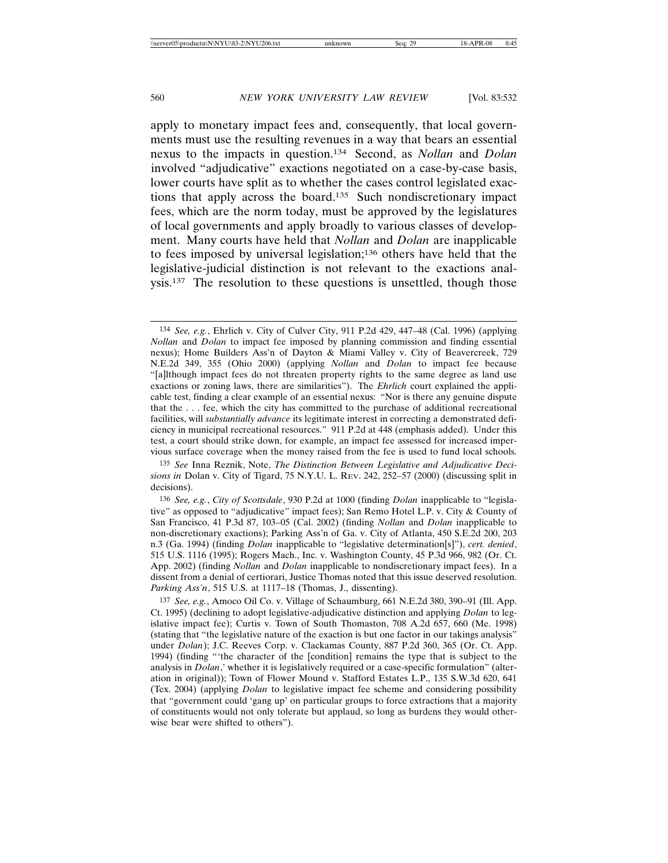apply to monetary impact fees and, consequently, that local governments must use the resulting revenues in a way that bears an essential nexus to the impacts in question.134 Second, as *Nollan* and *Dolan* involved "adjudicative" exactions negotiated on a case-by-case basis, lower courts have split as to whether the cases control legislated exactions that apply across the board.135 Such nondiscretionary impact fees, which are the norm today, must be approved by the legislatures of local governments and apply broadly to various classes of development. Many courts have held that *Nollan* and *Dolan* are inapplicable to fees imposed by universal legislation;136 others have held that the legislative-judicial distinction is not relevant to the exactions analysis.<sup>137</sup> The resolution to these questions is unsettled, though those

<sup>134</sup> *See, e.g.*, Ehrlich v. City of Culver City, 911 P.2d 429, 447–48 (Cal. 1996) (applying *Nollan* and *Dolan* to impact fee imposed by planning commission and finding essential nexus); Home Builders Ass'n of Dayton & Miami Valley v. City of Beavercreek, 729 N.E.2d 349, 355 (Ohio 2000) (applying *Nollan* and *Dolan* to impact fee because "[a]lthough impact fees do not threaten property rights to the same degree as land use exactions or zoning laws, there are similarities"). The *Ehrlich* court explained the applicable test, finding a clear example of an essential nexus: "Nor is there any genuine dispute that the . . . fee, which the city has committed to the purchase of additional recreational facilities, will *substantially advance* its legitimate interest in correcting a demonstrated deficiency in municipal recreational resources." 911 P.2d at 448 (emphasis added). Under this test, a court should strike down, for example, an impact fee assessed for increased impervious surface coverage when the money raised from the fee is used to fund local schools.

<sup>135</sup> *See* Inna Reznik, Note, *The Distinction Between Legislative and Adjudicative Decisions in* Dolan v. City of Tigard, 75 N.Y.U. L. REV. 242, 252–57 (2000) (discussing split in decisions).

<sup>136</sup> *See, e.g.*, *City of Scottsdale*, 930 P.2d at 1000 (finding *Dolan* inapplicable to "legislative" as opposed to "adjudicative" impact fees); San Remo Hotel L.P. v. City & County of San Francisco, 41 P.3d 87, 103–05 (Cal. 2002) (finding *Nollan* and *Dolan* inapplicable to non-discretionary exactions); Parking Ass'n of Ga. v. City of Atlanta, 450 S.E.2d 200, 203 n.3 (Ga. 1994) (finding *Dolan* inapplicable to "legislative determination[s]"), *cert. denied*, 515 U.S. 1116 (1995); Rogers Mach., Inc. v. Washington County, 45 P.3d 966, 982 (Or. Ct. App. 2002) (finding *Nollan* and *Dolan* inapplicable to nondiscretionary impact fees). In a dissent from a denial of certiorari, Justice Thomas noted that this issue deserved resolution. *Parking Ass'n*, 515 U.S. at 1117–18 (Thomas, J., dissenting).

<sup>137</sup> *See, e.g.*, Amoco Oil Co. v. Village of Schaumburg, 661 N.E.2d 380, 390–91 (Ill. App. Ct. 1995) (declining to adopt legislative-adjudicative distinction and applying *Dolan* to legislative impact fee); Curtis v. Town of South Thomaston, 708 A.2d 657, 660 (Me. 1998) (stating that "the legislative nature of the exaction is but one factor in our takings analysis" under *Dolan*); J.C. Reeves Corp. v. Clackamas County, 887 P.2d 360, 365 (Or. Ct. App. 1994) (finding "'the character of the [condition] remains the type that is subject to the analysis in *Dolan*,' whether it is legislatively required or a case-specific formulation" (alteration in original)); Town of Flower Mound v. Stafford Estates L.P., 135 S.W.3d 620, 641 (Tex. 2004) (applying *Dolan* to legislative impact fee scheme and considering possibility that "government could 'gang up' on particular groups to force extractions that a majority of constituents would not only tolerate but applaud, so long as burdens they would otherwise bear were shifted to others").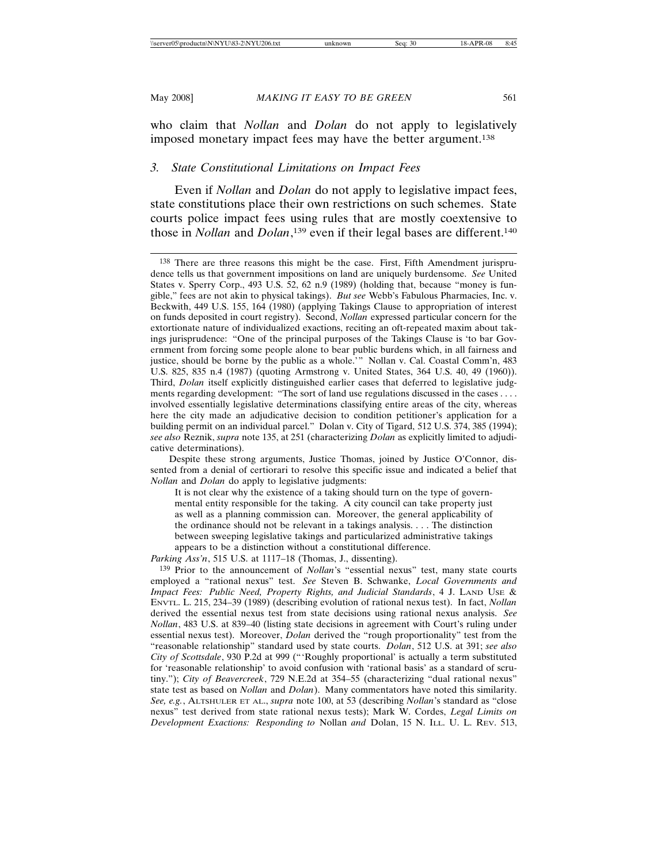who claim that *Nollan* and *Dolan* do not apply to legislatively imposed monetary impact fees may have the better argument.138

# *3. State Constitutional Limitations on Impact Fees*

Even if *Nollan* and *Dolan* do not apply to legislative impact fees, state constitutions place their own restrictions on such schemes. State courts police impact fees using rules that are mostly coextensive to those in *Nollan* and *Dolan*, 139 even if their legal bases are different.140

*Parking Ass'n*, 515 U.S. at 1117–18 (Thomas, J., dissenting).

<sup>138</sup> There are three reasons this might be the case. First, Fifth Amendment jurisprudence tells us that government impositions on land are uniquely burdensome. *See* United States v. Sperry Corp., 493 U.S. 52, 62 n.9 (1989) (holding that, because "money is fungible," fees are not akin to physical takings). *But see* Webb's Fabulous Pharmacies, Inc. v. Beckwith, 449 U.S. 155, 164 (1980) (applying Takings Clause to appropriation of interest on funds deposited in court registry). Second, *Nollan* expressed particular concern for the extortionate nature of individualized exactions, reciting an oft-repeated maxim about takings jurisprudence: "One of the principal purposes of the Takings Clause is 'to bar Government from forcing some people alone to bear public burdens which, in all fairness and justice, should be borne by the public as a whole.'" Nollan v. Cal. Coastal Comm'n, 483 U.S. 825, 835 n.4 (1987) (quoting Armstrong v. United States, 364 U.S. 40, 49 (1960)). Third, *Dolan* itself explicitly distinguished earlier cases that deferred to legislative judgments regarding development: "The sort of land use regulations discussed in the cases . . . . involved essentially legislative determinations classifying entire areas of the city, whereas here the city made an adjudicative decision to condition petitioner's application for a building permit on an individual parcel." Dolan v. City of Tigard, 512 U.S. 374, 385 (1994); *see also* Reznik, *supra* note 135, at 251 (characterizing *Dolan* as explicitly limited to adjudicative determinations).

Despite these strong arguments, Justice Thomas, joined by Justice O'Connor, dissented from a denial of certiorari to resolve this specific issue and indicated a belief that *Nollan* and *Dolan* do apply to legislative judgments:

It is not clear why the existence of a taking should turn on the type of governmental entity responsible for the taking. A city council can take property just as well as a planning commission can. Moreover, the general applicability of the ordinance should not be relevant in a takings analysis. . . . The distinction between sweeping legislative takings and particularized administrative takings appears to be a distinction without a constitutional difference.

<sup>139</sup> Prior to the announcement of *Nollan*'s "essential nexus" test, many state courts employed a "rational nexus" test. *See* Steven B. Schwanke, *Local Governments and Impact Fees: Public Need, Property Rights, and Judicial Standards*, 4 J. LAND USE & ENVTL. L. 215, 234–39 (1989) (describing evolution of rational nexus test). In fact, *Nollan* derived the essential nexus test from state decisions using rational nexus analysis. *See Nollan*, 483 U.S. at 839–40 (listing state decisions in agreement with Court's ruling under essential nexus test). Moreover, *Dolan* derived the "rough proportionality" test from the "reasonable relationship" standard used by state courts. *Dolan*, 512 U.S. at 391; *see also City of Scottsdale*, 930 P.2d at 999 ("'Roughly proportional' is actually a term substituted for 'reasonable relationship' to avoid confusion with 'rational basis' as a standard of scrutiny."); *City of Beavercreek*, 729 N.E.2d at 354–55 (characterizing "dual rational nexus" state test as based on *Nollan* and *Dolan*). Many commentators have noted this similarity. *See, e.g.*, ALTSHULER ET AL., *supra* note 100, at 53 (describing *Nollan*'s standard as "close nexus" test derived from state rational nexus tests); Mark W. Cordes, *Legal Limits on Development Exactions: Responding to* Nollan *and* Dolan, 15 N. ILL. U. L. REV. 513,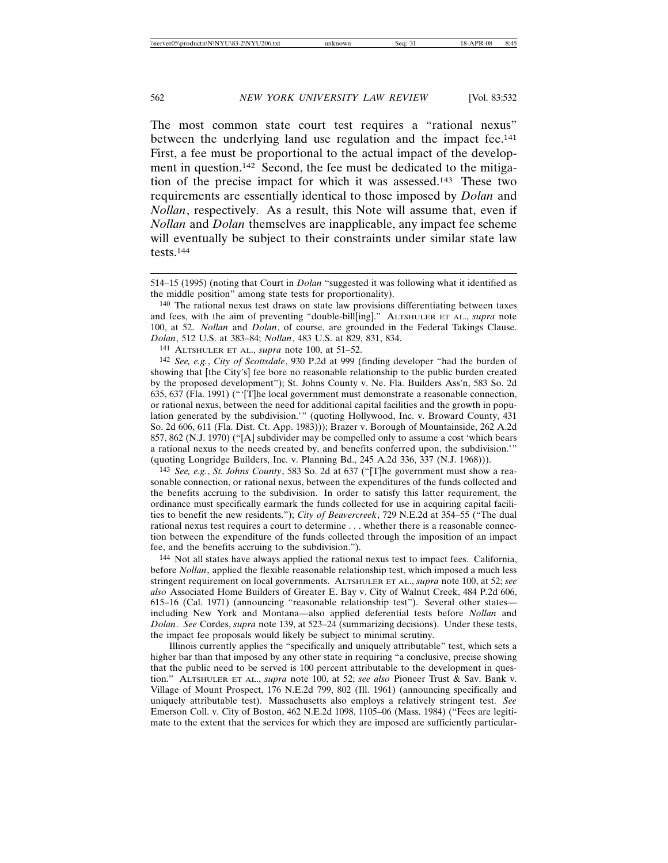The most common state court test requires a "rational nexus" between the underlying land use regulation and the impact fee.141 First, a fee must be proportional to the actual impact of the development in question.142 Second, the fee must be dedicated to the mitigation of the precise impact for which it was assessed.143 These two requirements are essentially identical to those imposed by *Dolan* and *Nollan*, respectively. As a result, this Note will assume that, even if *Nollan* and *Dolan* themselves are inapplicable, any impact fee scheme will eventually be subject to their constraints under similar state law tests.144

140 The rational nexus test draws on state law provisions differentiating between taxes and fees, with the aim of preventing "double-bill[ing]." ALTSHULER ET AL., *supra* note 100, at 52. *Nollan* and *Dolan*, of course, are grounded in the Federal Takings Clause. *Dolan*, 512 U.S. at 383–84; *Nollan*, 483 U.S. at 829, 831, 834.

141 ALTSHULER ET AL., *supra* note 100, at 51–52.

142 *See, e.g.*, *City of Scottsdale*, 930 P.2d at 999 (finding developer "had the burden of showing that [the City's] fee bore no reasonable relationship to the public burden created by the proposed development"); St. Johns County v. Ne. Fla. Builders Ass'n, 583 So. 2d 635, 637 (Fla. 1991) ("'[T]he local government must demonstrate a reasonable connection, or rational nexus, between the need for additional capital facilities and the growth in population generated by the subdivision.'" (quoting Hollywood, Inc. v. Broward County, 431 So. 2d 606, 611 (Fla. Dist. Ct. App. 1983))); Brazer v. Borough of Mountainside, 262 A.2d 857, 862 (N.J. 1970) ("[A] subdivider may be compelled only to assume a cost 'which bears a rational nexus to the needs created by, and benefits conferred upon, the subdivision.'" (quoting Longridge Builders, Inc. v. Planning Bd., 245 A.2d 336, 337 (N.J. 1968))).

143 *See, e.g.*, *St. Johns County*, 583 So. 2d at 637 ("[T]he government must show a reasonable connection, or rational nexus, between the expenditures of the funds collected and the benefits accruing to the subdivision. In order to satisfy this latter requirement, the ordinance must specifically earmark the funds collected for use in acquiring capital facilities to benefit the new residents."); *City of Beavercreek*, 729 N.E.2d at 354–55 ("The dual rational nexus test requires a court to determine . . . whether there is a reasonable connection between the expenditure of the funds collected through the imposition of an impact fee, and the benefits accruing to the subdivision.").

144 Not all states have always applied the rational nexus test to impact fees. California, before *Nollan*, applied the flexible reasonable relationship test, which imposed a much less stringent requirement on local governments. ALTSHULER ET AL., *supra* note 100, at 52; *see also* Associated Home Builders of Greater E. Bay v. City of Walnut Creek, 484 P.2d 606, 615–16 (Cal. 1971) (announcing "reasonable relationship test"). Several other states including New York and Montana—also applied deferential tests before *Nollan* and *Dolan*. *See* Cordes, *supra* note 139, at 523–24 (summarizing decisions). Under these tests, the impact fee proposals would likely be subject to minimal scrutiny.

Illinois currently applies the "specifically and uniquely attributable" test, which sets a higher bar than that imposed by any other state in requiring "a conclusive, precise showing that the public need to be served is 100 percent attributable to the development in question." ALTSHULER ET AL., *supra* note 100, at 52; *see also* Pioneer Trust & Sav. Bank v. Village of Mount Prospect, 176 N.E.2d 799, 802 (Ill. 1961) (announcing specifically and uniquely attributable test). Massachusetts also employs a relatively stringent test. *See* Emerson Coll. v. City of Boston, 462 N.E.2d 1098, 1105–06 (Mass. 1984) ("Fees are legitimate to the extent that the services for which they are imposed are sufficiently particular-

<sup>514–15 (1995) (</sup>noting that Court in *Dolan* "suggested it was following what it identified as the middle position" among state tests for proportionality).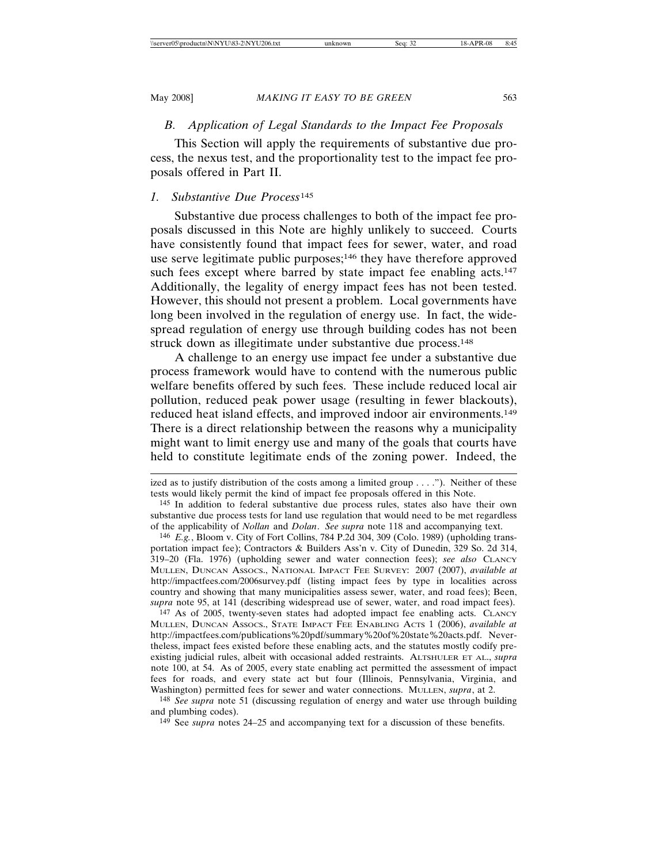# *B. Application of Legal Standards to the Impact Fee Proposals*

This Section will apply the requirements of substantive due process, the nexus test, and the proportionality test to the impact fee proposals offered in Part II.

### *1. Substantive Due Process*<sup>145</sup>

Substantive due process challenges to both of the impact fee proposals discussed in this Note are highly unlikely to succeed. Courts have consistently found that impact fees for sewer, water, and road use serve legitimate public purposes;<sup>146</sup> they have therefore approved such fees except where barred by state impact fee enabling acts.<sup>147</sup> Additionally, the legality of energy impact fees has not been tested. However, this should not present a problem. Local governments have long been involved in the regulation of energy use. In fact, the widespread regulation of energy use through building codes has not been struck down as illegitimate under substantive due process.<sup>148</sup>

A challenge to an energy use impact fee under a substantive due process framework would have to contend with the numerous public welfare benefits offered by such fees. These include reduced local air pollution, reduced peak power usage (resulting in fewer blackouts), reduced heat island effects, and improved indoor air environments.<sup>149</sup> There is a direct relationship between the reasons why a municipality might want to limit energy use and many of the goals that courts have held to constitute legitimate ends of the zoning power. Indeed, the

147 As of 2005, twenty-seven states had adopted impact fee enabling acts. CLANCY MULLEN, DUNCAN ASSOCS., STATE IMPACT FEE ENABLING ACTS 1 (2006), *available at* http://impactfees.com/publications%20pdf/summary%20of%20state%20acts.pdf. Nevertheless, impact fees existed before these enabling acts, and the statutes mostly codify preexisting judicial rules, albeit with occasional added restraints. ALTSHULER ET AL., *supra* note 100, at 54. As of 2005, every state enabling act permitted the assessment of impact fees for roads, and every state act but four (Illinois, Pennsylvania, Virginia, and Washington) permitted fees for sewer and water connections. MULLEN, *supra*, at 2.

148 *See supra* note 51 (discussing regulation of energy and water use through building and plumbing codes).

149 See *supra* notes 24–25 and accompanying text for a discussion of these benefits.

ized as to justify distribution of the costs among a limited group  $\dots$ ."). Neither of these tests would likely permit the kind of impact fee proposals offered in this Note.

<sup>145</sup> In addition to federal substantive due process rules, states also have their own substantive due process tests for land use regulation that would need to be met regardless of the applicability of *Nollan* and *Dolan*. *See supra* note 118 and accompanying text.

<sup>146</sup> *E.g.*, Bloom v. City of Fort Collins, 784 P.2d 304, 309 (Colo. 1989) (upholding transportation impact fee); Contractors & Builders Ass'n v. City of Dunedin, 329 So. 2d 314, 319–20 (Fla. 1976) (upholding sewer and water connection fees); *see also* CLANCY MULLEN, DUNCAN ASSOCS., NATIONAL IMPACT FEE SURVEY: 2007 (2007), *available at* http://impactfees.com/2006survey.pdf (listing impact fees by type in localities across country and showing that many municipalities assess sewer, water, and road fees); Been, *supra* note 95, at 141 (describing widespread use of sewer, water, and road impact fees).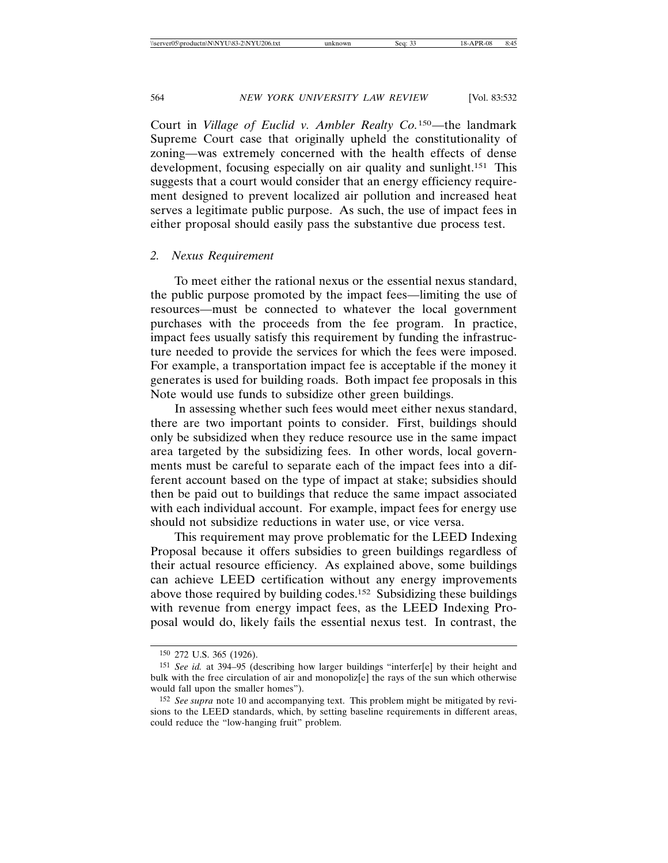Court in *Village of Euclid v. Ambler Realty Co.*150—the landmark Supreme Court case that originally upheld the constitutionality of zoning—was extremely concerned with the health effects of dense development, focusing especially on air quality and sunlight.<sup>151</sup> This suggests that a court would consider that an energy efficiency requirement designed to prevent localized air pollution and increased heat serves a legitimate public purpose. As such, the use of impact fees in either proposal should easily pass the substantive due process test.

#### *2. Nexus Requirement*

To meet either the rational nexus or the essential nexus standard, the public purpose promoted by the impact fees—limiting the use of resources—must be connected to whatever the local government purchases with the proceeds from the fee program. In practice, impact fees usually satisfy this requirement by funding the infrastructure needed to provide the services for which the fees were imposed. For example, a transportation impact fee is acceptable if the money it generates is used for building roads. Both impact fee proposals in this Note would use funds to subsidize other green buildings.

In assessing whether such fees would meet either nexus standard, there are two important points to consider. First, buildings should only be subsidized when they reduce resource use in the same impact area targeted by the subsidizing fees. In other words, local governments must be careful to separate each of the impact fees into a different account based on the type of impact at stake; subsidies should then be paid out to buildings that reduce the same impact associated with each individual account. For example, impact fees for energy use should not subsidize reductions in water use, or vice versa.

This requirement may prove problematic for the LEED Indexing Proposal because it offers subsidies to green buildings regardless of their actual resource efficiency. As explained above, some buildings can achieve LEED certification without any energy improvements above those required by building codes.152 Subsidizing these buildings with revenue from energy impact fees, as the LEED Indexing Proposal would do, likely fails the essential nexus test. In contrast, the

<sup>150</sup> 272 U.S. 365 (1926).

<sup>151</sup> *See id.* at 394–95 (describing how larger buildings "interfer[e] by their height and bulk with the free circulation of air and monopoliz $[e]$  the rays of the sun which otherwise would fall upon the smaller homes").

<sup>152</sup> *See supra* note 10 and accompanying text. This problem might be mitigated by revisions to the LEED standards, which, by setting baseline requirements in different areas, could reduce the "low-hanging fruit" problem.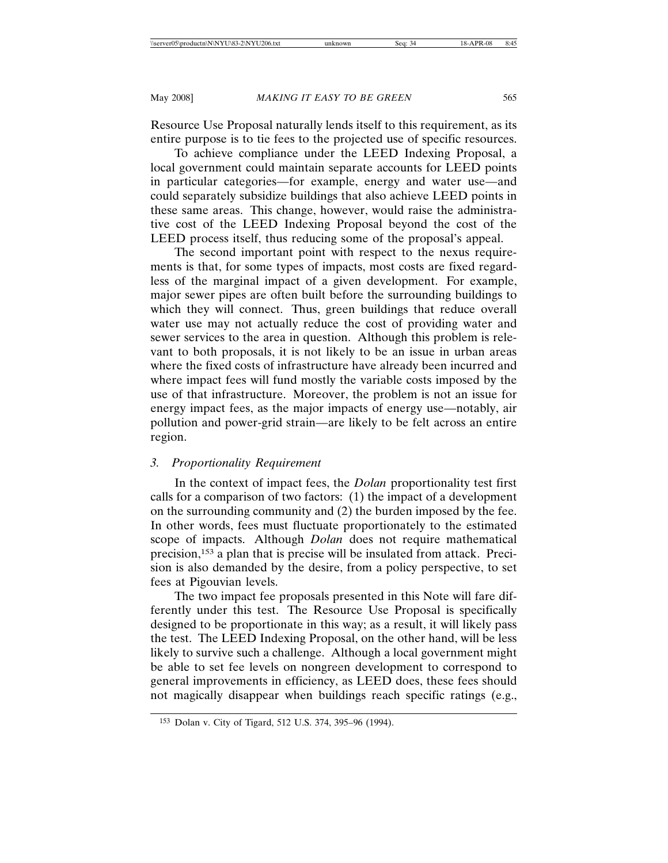Resource Use Proposal naturally lends itself to this requirement, as its entire purpose is to tie fees to the projected use of specific resources.

To achieve compliance under the LEED Indexing Proposal, a local government could maintain separate accounts for LEED points in particular categories—for example, energy and water use—and could separately subsidize buildings that also achieve LEED points in these same areas. This change, however, would raise the administrative cost of the LEED Indexing Proposal beyond the cost of the LEED process itself, thus reducing some of the proposal's appeal.

The second important point with respect to the nexus requirements is that, for some types of impacts, most costs are fixed regardless of the marginal impact of a given development. For example, major sewer pipes are often built before the surrounding buildings to which they will connect. Thus, green buildings that reduce overall water use may not actually reduce the cost of providing water and sewer services to the area in question. Although this problem is relevant to both proposals, it is not likely to be an issue in urban areas where the fixed costs of infrastructure have already been incurred and where impact fees will fund mostly the variable costs imposed by the use of that infrastructure. Moreover, the problem is not an issue for energy impact fees, as the major impacts of energy use—notably, air pollution and power-grid strain—are likely to be felt across an entire region.

#### *3. Proportionality Requirement*

In the context of impact fees, the *Dolan* proportionality test first calls for a comparison of two factors: (1) the impact of a development on the surrounding community and (2) the burden imposed by the fee. In other words, fees must fluctuate proportionately to the estimated scope of impacts. Although *Dolan* does not require mathematical precision,153 a plan that is precise will be insulated from attack. Precision is also demanded by the desire, from a policy perspective, to set fees at Pigouvian levels.

The two impact fee proposals presented in this Note will fare differently under this test. The Resource Use Proposal is specifically designed to be proportionate in this way; as a result, it will likely pass the test. The LEED Indexing Proposal, on the other hand, will be less likely to survive such a challenge. Although a local government might be able to set fee levels on nongreen development to correspond to general improvements in efficiency, as LEED does, these fees should not magically disappear when buildings reach specific ratings (e.g.,

<sup>153</sup> Dolan v. City of Tigard, 512 U.S. 374, 395–96 (1994).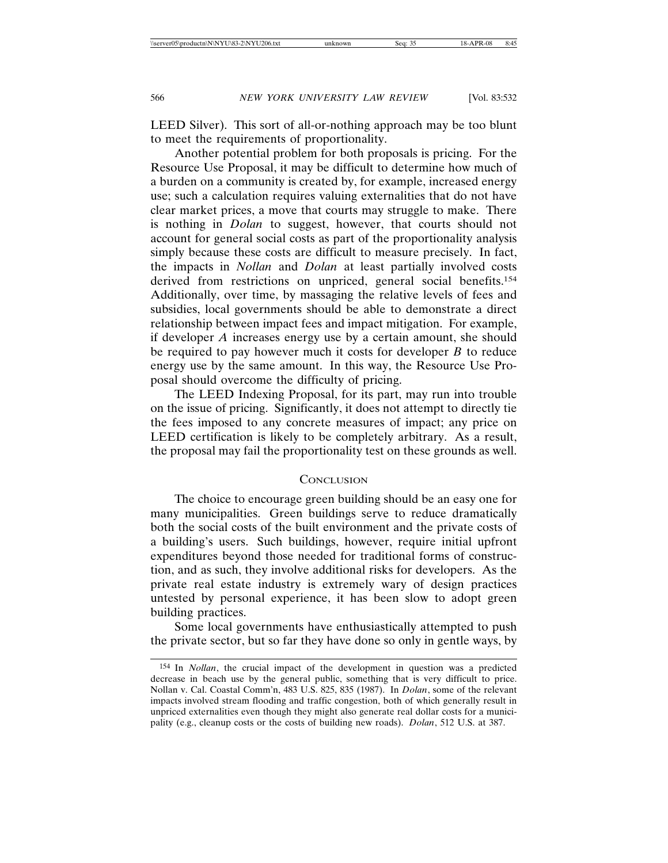LEED Silver). This sort of all-or-nothing approach may be too blunt to meet the requirements of proportionality.

Another potential problem for both proposals is pricing. For the Resource Use Proposal, it may be difficult to determine how much of a burden on a community is created by, for example, increased energy use; such a calculation requires valuing externalities that do not have clear market prices, a move that courts may struggle to make. There is nothing in *Dolan* to suggest, however, that courts should not account for general social costs as part of the proportionality analysis simply because these costs are difficult to measure precisely. In fact, the impacts in *Nollan* and *Dolan* at least partially involved costs derived from restrictions on unpriced, general social benefits.154 Additionally, over time, by massaging the relative levels of fees and subsidies, local governments should be able to demonstrate a direct relationship between impact fees and impact mitigation. For example, if developer *A* increases energy use by a certain amount, she should be required to pay however much it costs for developer *B* to reduce energy use by the same amount. In this way, the Resource Use Proposal should overcome the difficulty of pricing.

The LEED Indexing Proposal, for its part, may run into trouble on the issue of pricing. Significantly, it does not attempt to directly tie the fees imposed to any concrete measures of impact; any price on LEED certification is likely to be completely arbitrary. As a result, the proposal may fail the proportionality test on these grounds as well.

### **CONCLUSION**

The choice to encourage green building should be an easy one for many municipalities. Green buildings serve to reduce dramatically both the social costs of the built environment and the private costs of a building's users. Such buildings, however, require initial upfront expenditures beyond those needed for traditional forms of construction, and as such, they involve additional risks for developers. As the private real estate industry is extremely wary of design practices untested by personal experience, it has been slow to adopt green building practices.

Some local governments have enthusiastically attempted to push the private sector, but so far they have done so only in gentle ways, by

<sup>154</sup> In *Nollan*, the crucial impact of the development in question was a predicted decrease in beach use by the general public, something that is very difficult to price. Nollan v. Cal. Coastal Comm'n, 483 U.S. 825, 835 (1987). In *Dolan*, some of the relevant impacts involved stream flooding and traffic congestion, both of which generally result in unpriced externalities even though they might also generate real dollar costs for a municipality (e.g., cleanup costs or the costs of building new roads). *Dolan*, 512 U.S. at 387.